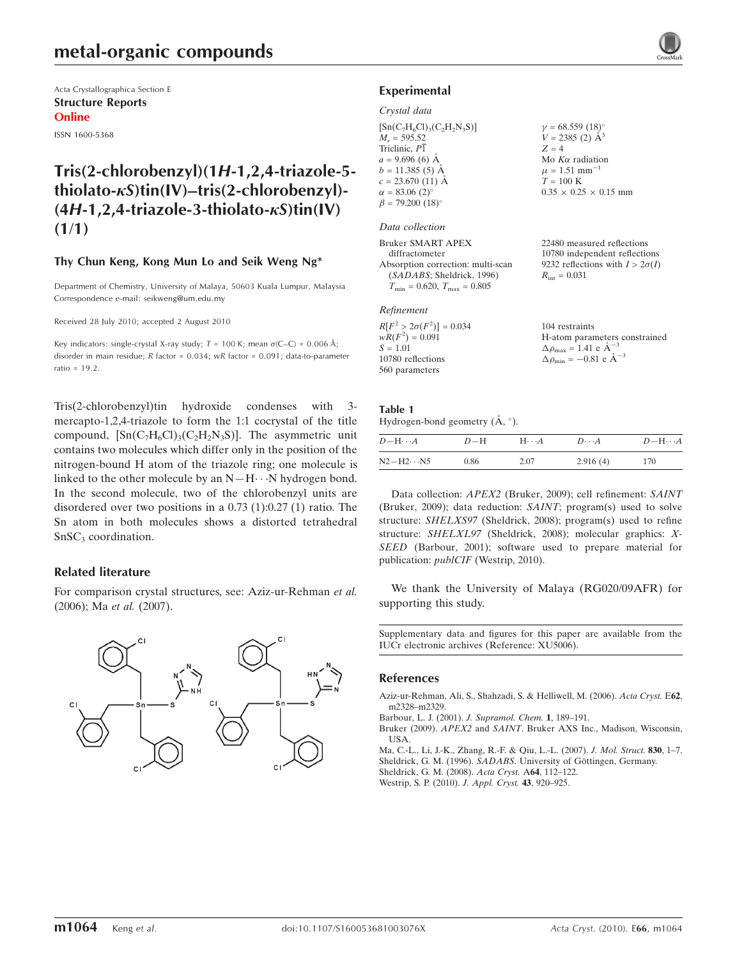Acta Crystallographica Section E Structure Reports Online

ISSN 1600-5368

# Tris(2-chlorobenzyl)(1H-1,2,4-triazole-5 thiolato- $\kappa S$ )tin(IV)–tris(2-chlorobenzyl)- $(4H-1, 2, 4-triazole-3-thiolato- $\kappa$ S) $tin(V)$$  $(1/1)$

# Thy Chun Keng, Kong Mun Lo and Seik Weng Ng\*

Department of Chemistry, University of Malaya, 50603 Kuala Lumpur, Malaysia Correspondence e-mail: seikweng@um.edu.my

Received 28 July 2010; accepted 2 August 2010

Key indicators: single-crystal X-ray study;  $T = 100$  K; mean  $\sigma$ (C–C) = 0.006 Å; disorder in main residue; R factor = 0.034; wR factor = 0.091; data-to-parameter ratio = 19.2.

Tris(2-chlorobenzyl)tin hydroxide condenses with 3 mercapto-1,2,4-triazole to form the 1:1 cocrystal of the title compound,  $[Sn(C<sub>7</sub>H<sub>6</sub>Cl)<sub>3</sub>(C<sub>2</sub>H<sub>2</sub>N<sub>3</sub>S)]$ . The asymmetric unit contains two molecules which differ only in the position of the nitrogen-bound H atom of the triazole ring; one molecule is linked to the other molecule by an  $N-H\cdots N$  hydrogen bond. In the second molecule, two of the chlorobenzyl units are disordered over two positions in a 0.73 (1):0.27 (1) ratio. The Sn atom in both molecules shows a distorted tetrahedral  $SnSC<sub>3</sub>$  coordination.

# Related literature

For comparison crystal structures, see: Aziz-ur-Rehman et al. (2006); Ma et al. (2007).

# Experimental

#### Crystal data

| $[Sn(C7H6Cl)3(C2H2N3S)]$           | $\gamma = 68.559 (18)^{\circ}$ |
|------------------------------------|--------------------------------|
| $M_r = 595.52$                     | $V = 2385$ (2) $\AA^3$         |
| Triclinic, P1                      | $Z = 4$                        |
| $a = 9.696(6)$ Å                   | Mo $K\alpha$ radiation         |
| $b = 11.385(5)$ Å                  | $\mu = 1.51$ mm <sup>-1</sup>  |
| $c = 23.670(11)$ Å                 | $T = 100$ K                    |
| $\alpha = 83.06(2)^{\circ}$        | $0.35 \times 0.25 \times 0.1$  |
| $\beta = 79.200$ (18) <sup>o</sup> |                                |
|                                    |                                |

#### Data collection

| Bruker SMART APEX                                | 22480 measured reflections             |
|--------------------------------------------------|----------------------------------------|
| diffractometer                                   | 10780 independent reflections          |
| Absorption correction: multi-scan                | 9232 reflections with $I > 2\sigma(I)$ |
| (SADABS; Sheldrick, 1996)                        | $R_{\rm int} = 0.031$                  |
| $T_{\text{min}} = 0.620, T_{\text{max}} = 0.805$ |                                        |
| Refinement                                       |                                        |

 $0.15$  mm

| 104 restraints                                     |
|----------------------------------------------------|
| H-atom parameters constrained                      |
| $\Delta \rho_{\text{max}} = 1.41 \text{ e A}^{-3}$ |
| $\Delta \rho_{\rm min} = -0.81$ e $\rm \AA^{-3}$   |
|                                                    |
|                                                    |

#### Table 1 Hydrogen-bond geometry  $(\mathring{A}, \degree)$ .

| $D - H \cdots A$    | $D-H$ | $H\cdots A$ | $D\cdots A$ | $D - H \cdots A$ |  |
|---------------------|-------|-------------|-------------|------------------|--|
| $N2 - H2 \cdots N5$ | 0.86  | 2.07        | 2.916(4)    | 170              |  |

Data collection: APEX2 (Bruker, 2009); cell refinement: SAINT (Bruker, 2009); data reduction: SAINT; program(s) used to solve structure: SHELXS97 (Sheldrick, 2008); program(s) used to refine structure: SHELXL97 (Sheldrick, 2008); molecular graphics: X-SEED (Barbour, 2001); software used to prepare material for publication: publCIF (Westrip, 2010).

We thank the University of Malaya (RG020/09AFR) for supporting this study.

Supplementary data and figures for this paper are available from the IUCr electronic archives (Reference: XU5006).

#### References

[Aziz-ur-Rehman, Ali, S., Shahzadi, S. & Helliwell, M. \(2006\).](https://scripts.iucr.org/cgi-bin/cr.cgi?rm=pdfbb&cnor=xu5006&bbid=BB1) Acta Cryst. E62, [m2328–m2329.](https://scripts.iucr.org/cgi-bin/cr.cgi?rm=pdfbb&cnor=xu5006&bbid=BB1)

[Barbour, L. J. \(2001\).](https://scripts.iucr.org/cgi-bin/cr.cgi?rm=pdfbb&cnor=xu5006&bbid=BB2) J. Supramol. Chem. 1, 189–191.

- Bruker (2009). APEX2 and SAINT[. Bruker AXS Inc., Madison, Wisconsin,](https://scripts.iucr.org/cgi-bin/cr.cgi?rm=pdfbb&cnor=xu5006&bbid=BB3) [USA.](https://scripts.iucr.org/cgi-bin/cr.cgi?rm=pdfbb&cnor=xu5006&bbid=BB3)
- [Ma, C.-L., Li, J.-K., Zhang, R.-F. & Qiu, L.-L. \(2007\).](https://scripts.iucr.org/cgi-bin/cr.cgi?rm=pdfbb&cnor=xu5006&bbid=BB4) J. Mol. Struct. 830, 1–7.
- Sheldrick, G. M. (1996). SADABS. University of Göttingen, Germany.

[Sheldrick, G. M. \(2008\).](https://scripts.iucr.org/cgi-bin/cr.cgi?rm=pdfbb&cnor=xu5006&bbid=BB6) Acta Cryst. A64, 112–122.

[Westrip, S. P. \(2010\).](https://scripts.iucr.org/cgi-bin/cr.cgi?rm=pdfbb&cnor=xu5006&bbid=BB7) J. Appl. Cryst. 43, 920–925.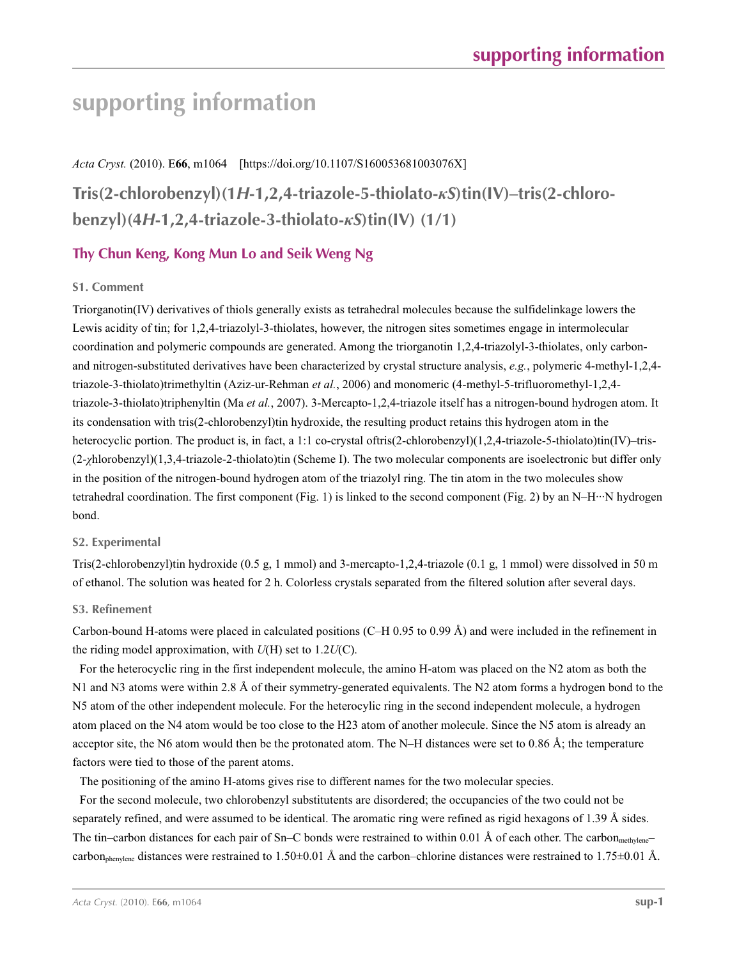# **supporting information**

# *Acta Cryst.* (2010). E**66**, m1064 [https://doi.org/10.1107/S160053681003076X]

**Tris(2-chlorobenzyl)(1***H***-1,2,4-triazole-5-thiolato-***κS***)tin(IV)–tris(2-chlorobenzyl)(4***H***-1,2,4-triazole-3-thiolato-***κS***)tin(IV) (1/1)**

# **Thy Chun Keng, Kong Mun Lo and Seik Weng Ng**

# **S1. Comment**

Triorganotin(IV) derivatives of thiols generally exists as tetrahedral molecules because the sulfidelinkage lowers the Lewis acidity of tin; for 1,2,4-triazolyl-3-thiolates, however, the nitrogen sites sometimes engage in intermolecular coordination and polymeric compounds are generated. Among the triorganotin 1,2,4-triazolyl-3-thiolates, only carbonand nitrogen-substituted derivatives have been characterized by crystal structure analysis, *e.g.*, polymeric 4-methyl-1,2,4 triazole-3-thiolato)trimethyltin (Aziz-ur-Rehman *et al.*, 2006) and monomeric (4-methyl-5-trifluoromethyl-1,2,4 triazole-3-thiolato)triphenyltin (Ma *et al.*, 2007). 3-Mercapto-1,2,4-triazole itself has a nitrogen-bound hydrogen atom. It its condensation with tris(2-chlorobenzyl)tin hydroxide, the resulting product retains this hydrogen atom in the heterocyclic portion. The product is, in fact, a 1:1 co-crystal oftris(2-chlorobenzyl)(1,2,4-triazole-5-thiolato)tin(IV)–tris-(2-*χ*hlorobenzyl)(1,3,4-triazole-2-thiolato)tin (Scheme I). The two molecular components are isoelectronic but differ only in the position of the nitrogen-bound hydrogen atom of the triazolyl ring. The tin atom in the two molecules show tetrahedral coordination. The first component (Fig. 1) is linked to the second component (Fig. 2) by an N–H···N hydrogen bond.

# **S2. Experimental**

Tris(2-chlorobenzyl)tin hydroxide (0.5 g, 1 mmol) and 3-mercapto-1,2,4-triazole (0.1 g, 1 mmol) were dissolved in 50 m of ethanol. The solution was heated for 2 h. Colorless crystals separated from the filtered solution after several days.

# **S3. Refinement**

Carbon-bound H-atoms were placed in calculated positions (C–H 0.95 to 0.99 Å) and were included in the refinement in the riding model approximation, with *U*(H) set to 1.2*U*(C).

For the heterocyclic ring in the first independent molecule, the amino H-atom was placed on the N2 atom as both the N1 and N3 atoms were within 2.8 Å of their symmetry-generated equivalents. The N2 atom forms a hydrogen bond to the N5 atom of the other independent molecule. For the heterocylic ring in the second independent molecule, a hydrogen atom placed on the N4 atom would be too close to the H23 atom of another molecule. Since the N5 atom is already an acceptor site, the N6 atom would then be the protonated atom. The N–H distances were set to 0.86 Å; the temperature factors were tied to those of the parent atoms.

The positioning of the amino H-atoms gives rise to different names for the two molecular species.

For the second molecule, two chlorobenzyl substitutents are disordered; the occupancies of the two could not be separately refined, and were assumed to be identical. The aromatic ring were refined as rigid hexagons of 1.39 Å sides. The tin–carbon distances for each pair of Sn–C bonds were restrained to within 0.01 Å of each other. The carbon<sub>methylene</sub>– carbon<sub>phenylene</sub> distances were restrained to 1.50 $\pm$ 0.01 Å and the carbon–chlorine distances were restrained to 1.75 $\pm$ 0.01 Å.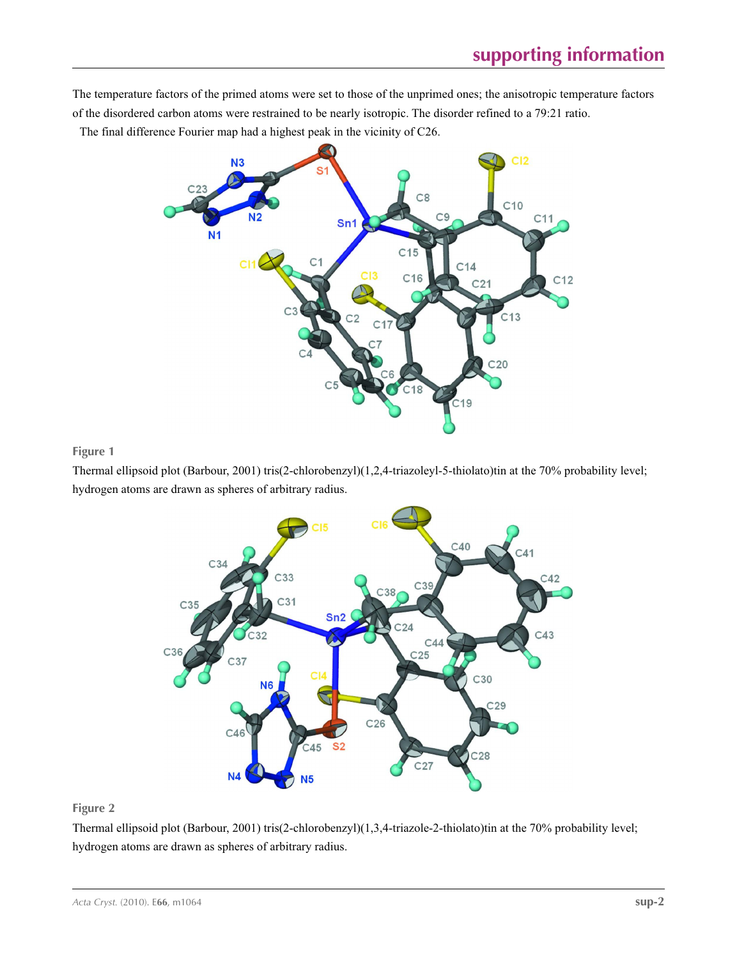The temperature factors of the primed atoms were set to those of the unprimed ones; the anisotropic temperature factors of the disordered carbon atoms were restrained to be nearly isotropic. The disorder refined to a 79:21 ratio.

The final difference Fourier map had a highest peak in the vicinity of C26.



**Figure 1**

Thermal ellipsoid plot (Barbour, 2001) tris(2-chlorobenzyl)(1,2,4-triazoleyl-5-thiolato)tin at the 70% probability level; hydrogen atoms are drawn as spheres of arbitrary radius.



# **Figure 2**

Thermal ellipsoid plot (Barbour, 2001) tris(2-chlorobenzyl)(1,3,4-triazole-2-thiolato)tin at the 70% probability level; hydrogen atoms are drawn as spheres of arbitrary radius.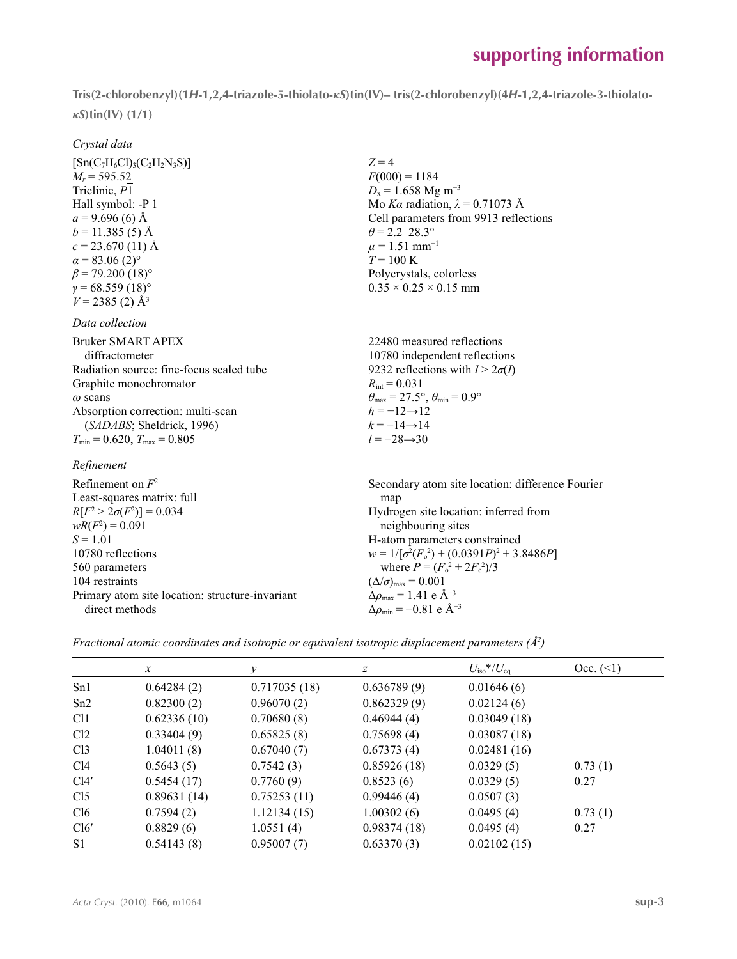**Tris(2-chlorobenzyl)(1***H***-1,2,4-triazole-5-thiolato-***κS***)tin(IV)– tris(2-chlorobenzyl)(4***H***-1,2,4-triazole-3-thiolato***κS***)tin(IV) (1/1)** 

### *Crystal data*

 $[Sn(C<sub>7</sub>H<sub>6</sub>Cl)<sub>3</sub>(C<sub>2</sub>H<sub>2</sub>N<sub>3</sub>S)]$  $M_r = 595.52$ Triclinic, *P*1 Hall symbol: -P 1  $a = 9.696(6)$  Å  $b = 11.385(5)$  Å  $c = 23.670(11)$  Å  $\alpha$  = 83.06 (2)<sup>o</sup>  $\beta$  = 79.200 (18)<sup>o</sup>  $γ = 68.559(18)°$  $V = 2385(2)$  Å<sup>3</sup>

### *Data collection*

| Bruker SMART APEX                        |
|------------------------------------------|
| diffractometer                           |
| Radiation source: fine-focus sealed tube |
| Graphite monochromator                   |
| $\omega$ scans                           |
| Absorption correction: multi-scan        |
| (SADABS; Sheldrick, 1996)                |
| $T_{\min}$ = 0.620, $T_{\max}$ = 0.805   |

*Refinement*

Refinement on *F*<sup>2</sup> Least-squares matrix: full *R*[ $F^2 > 2\sigma(F^2)$ ] = 0.034  $wR(F^2) = 0.091$  $S = 1.01$ 10780 reflections 560 parameters 104 restraints Primary atom site location: structure-invariant direct methods

 $Z = 4$  $F(000) = 1184$  $D_x = 1.658$  Mg m<sup>-3</sup> Mo *Kα* radiation,  $\lambda = 0.71073$  Å Cell parameters from 9913 reflections  $\theta$  = 2.2–28.3°  $\mu = 1.51$  mm<sup>-1</sup>  $T = 100 \text{ K}$ Polycrystals, colorless  $0.35 \times 0.25 \times 0.15$  mm

22480 measured reflections 10780 independent reflections 9232 reflections with  $I > 2\sigma(I)$  $R_{\text{int}} = 0.031$  $\theta_{\text{max}} = 27.5^{\circ}, \theta_{\text{min}} = 0.9^{\circ}$  $h = -12 \rightarrow 12$  $k = -14 \rightarrow 14$ *l* = −28→30

Secondary atom site location: difference Fourier map Hydrogen site location: inferred from neighbouring sites H-atom parameters constrained  $w = 1/[\sigma^2 (F_o^2) + (0.0391P)^2 + 3.8486P]$ where  $P = (F_o^2 + 2F_c^2)/3$  $(\Delta/\sigma)_{\text{max}} = 0.001$  $Δρ<sub>max</sub> = 1.41 e Å<sup>-3</sup>$  $\Delta\rho_{\text{min}} = -0.81$  e Å<sup>-3</sup>

*Fractional atomic coordinates and isotropic or equivalent isotropic displacement parameters (Å<sup>2</sup>)* 

|                 | $\mathcal{X}$ | v            | z           | $U_{\rm iso}*/U_{\rm eq}$ | Occ. (2) |
|-----------------|---------------|--------------|-------------|---------------------------|----------|
| Sn1             | 0.64284(2)    | 0.717035(18) | 0.636789(9) | 0.01646(6)                |          |
| Sn2             | 0.82300(2)    | 0.96070(2)   | 0.862329(9) | 0.02124(6)                |          |
| C <sub>11</sub> | 0.62336(10)   | 0.70680(8)   | 0.46944(4)  | 0.03049(18)               |          |
| Cl <sub>2</sub> | 0.33404(9)    | 0.65825(8)   | 0.75698(4)  | 0.03087(18)               |          |
| Cl <sub>3</sub> | 1.04011(8)    | 0.67040(7)   | 0.67373(4)  | 0.02481(16)               |          |
| Cl4             | 0.5643(5)     | 0.7542(3)    | 0.85926(18) | 0.0329(5)                 | 0.73(1)  |
| Cl4'            | 0.5454(17)    | 0.7760(9)    | 0.8523(6)   | 0.0329(5)                 | 0.27     |
| Cl <sub>5</sub> | 0.89631(14)   | 0.75253(11)  | 0.99446(4)  | 0.0507(3)                 |          |
| Cl6             | 0.7594(2)     | 1.12134(15)  | 1.00302(6)  | 0.0495(4)                 | 0.73(1)  |
| Cl6'            | 0.8829(6)     | 1.0551(4)    | 0.98374(18) | 0.0495(4)                 | 0.27     |
| S <sub>1</sub>  | 0.54143(8)    | 0.95007(7)   | 0.63370(3)  | 0.02102(15)               |          |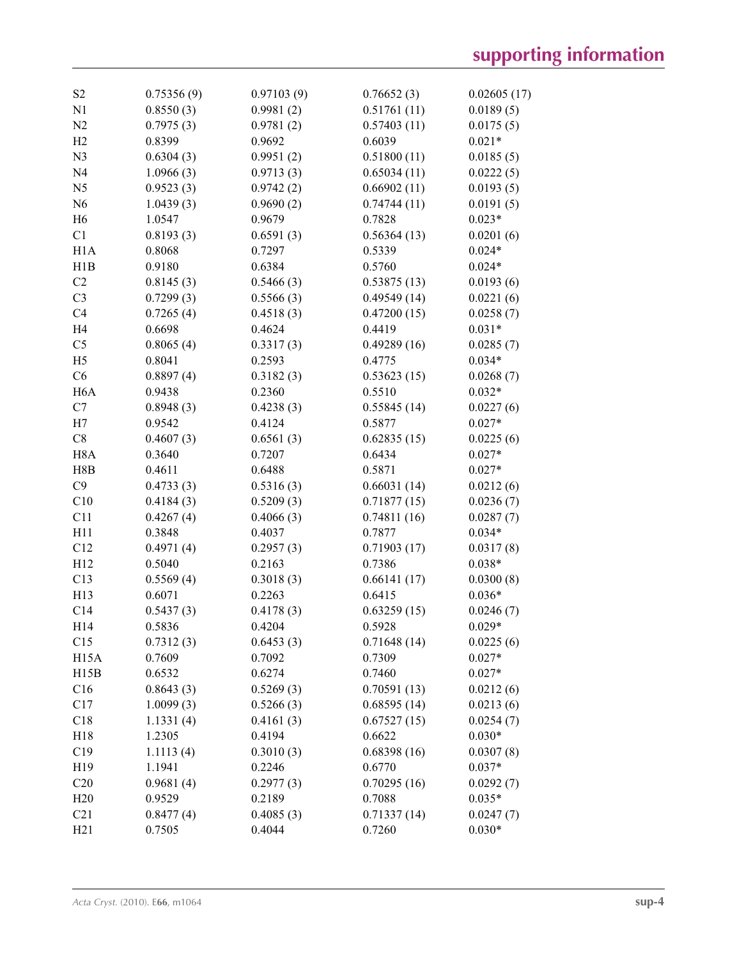| S <sub>2</sub>   | 0.75356(9) | 0.97103(9) | 0.76652(3)  | 0.02605(17) |
|------------------|------------|------------|-------------|-------------|
| N1               | 0.8550(3)  | 0.9981(2)  | 0.51761(11) | 0.0189(5)   |
| N <sub>2</sub>   | 0.7975(3)  | 0.9781(2)  | 0.57403(11) | 0.0175(5)   |
| H2               | 0.8399     | 0.9692     | 0.6039      | $0.021*$    |
| N <sub>3</sub>   | 0.6304(3)  | 0.9951(2)  | 0.51800(11) | 0.0185(5)   |
| N <sub>4</sub>   | 1.0966(3)  | 0.9713(3)  | 0.65034(11) | 0.0222(5)   |
| N <sub>5</sub>   | 0.9523(3)  | 0.9742(2)  | 0.66902(11) | 0.0193(5)   |
| N <sub>6</sub>   | 1.0439(3)  | 0.9690(2)  | 0.74744(11) | 0.0191(5)   |
| H <sub>6</sub>   | 1.0547     | 0.9679     | 0.7828      | $0.023*$    |
| C1               | 0.8193(3)  | 0.6591(3)  | 0.56364(13) | 0.0201(6)   |
| H1A              | 0.8068     | 0.7297     | 0.5339      | $0.024*$    |
| H1B              | 0.9180     | 0.6384     | 0.5760      | $0.024*$    |
| C2               | 0.8145(3)  | 0.5466(3)  | 0.53875(13) | 0.0193(6)   |
| C <sub>3</sub>   | 0.7299(3)  | 0.5566(3)  | 0.49549(14) | 0.0221(6)   |
| C <sub>4</sub>   | 0.7265(4)  | 0.4518(3)  | 0.47200(15) | 0.0258(7)   |
| H <sub>4</sub>   | 0.6698     | 0.4624     | 0.4419      | $0.031*$    |
| C <sub>5</sub>   | 0.8065(4)  | 0.3317(3)  | 0.49289(16) | 0.0285(7)   |
| H <sub>5</sub>   | 0.8041     | 0.2593     | 0.4775      | $0.034*$    |
| C6               | 0.8897(4)  | 0.3182(3)  | 0.53623(15) | 0.0268(7)   |
| H <sub>6</sub> A | 0.9438     | 0.2360     | 0.5510      | $0.032*$    |
| C7               | 0.8948(3)  | 0.4238(3)  | 0.55845(14) | 0.0227(6)   |
| H7               | 0.9542     | 0.4124     | 0.5877      | $0.027*$    |
| C8               | 0.4607(3)  | 0.6561(3)  | 0.62835(15) | 0.0225(6)   |
| H <sub>8</sub> A | 0.3640     | 0.7207     | 0.6434      | $0.027*$    |
| H8B              | 0.4611     | 0.6488     | 0.5871      | $0.027*$    |
| C9               | 0.4733(3)  | 0.5316(3)  | 0.66031(14) | 0.0212(6)   |
| C10              | 0.4184(3)  | 0.5209(3)  | 0.71877(15) | 0.0236(7)   |
| C11              | 0.4267(4)  | 0.4066(3)  | 0.74811(16) | 0.0287(7)   |
| H11              | 0.3848     | 0.4037     | 0.7877      | $0.034*$    |
| C12              | 0.4971(4)  | 0.2957(3)  | 0.71903(17) | 0.0317(8)   |
| H12              | 0.5040     | 0.2163     | 0.7386      | $0.038*$    |
| C13              | 0.5569(4)  | 0.3018(3)  | 0.66141(17) | 0.0300(8)   |
| H13              | 0.6071     | 0.2263     | 0.6415      | $0.036*$    |
| C14              | 0.5437(3)  | 0.4178(3)  | 0.63259(15) | 0.0246(7)   |
| H14              | 0.5836     | 0.4204     | 0.5928      | $0.029*$    |
| C15              | 0.7312(3)  | 0.6453(3)  | 0.71648(14) | 0.0225(6)   |
| H15A             | 0.7609     | 0.7092     | 0.7309      | $0.027*$    |
| H15B             | 0.6532     | 0.6274     | 0.7460      | $0.027*$    |
| C16              | 0.8643(3)  | 0.5269(3)  | 0.70591(13) | 0.0212(6)   |
| C17              | 1.0099(3)  | 0.5266(3)  | 0.68595(14) | 0.0213(6)   |
| C18              | 1.1331(4)  | 0.4161(3)  | 0.67527(15) | 0.0254(7)   |
| H18              | 1.2305     | 0.4194     | 0.6622      | $0.030*$    |
| C19              | 1.1113(4)  | 0.3010(3)  | 0.68398(16) | 0.0307(8)   |
| H19              | 1.1941     | 0.2246     | 0.6770      | $0.037*$    |
| C20              | 0.9681(4)  | 0.2977(3)  | 0.70295(16) | 0.0292(7)   |
| H20              | 0.9529     | 0.2189     | 0.7088      | $0.035*$    |
| C21              | 0.8477(4)  | 0.4085(3)  | 0.71337(14) | 0.0247(7)   |
| H21              | 0.7505     | 0.4044     | 0.7260      | $0.030*$    |
|                  |            |            |             |             |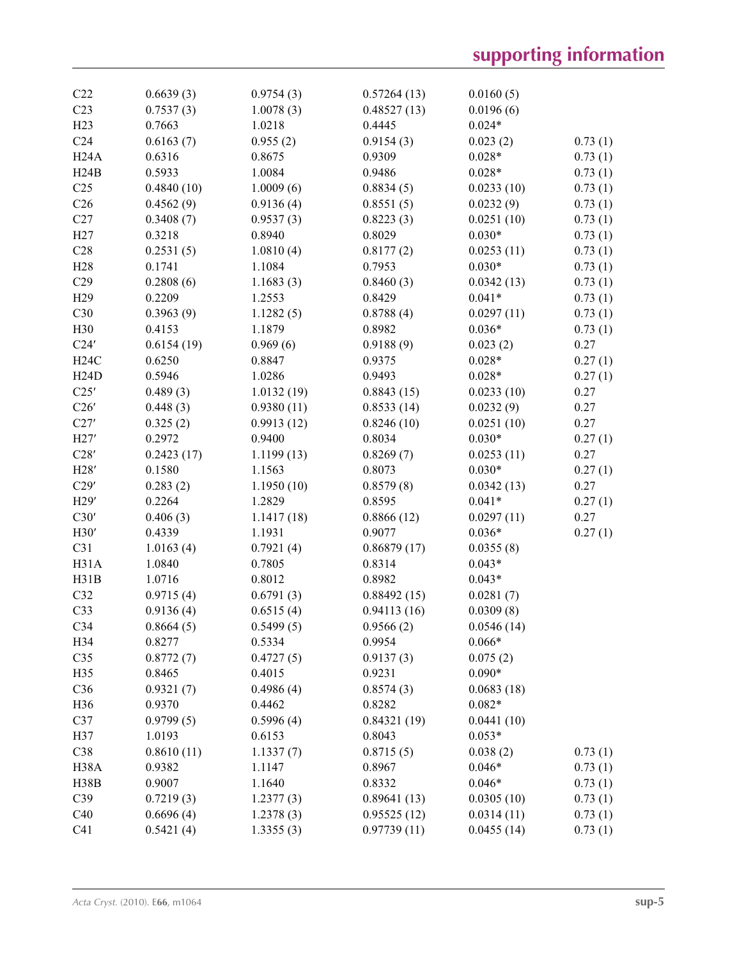| C22             | 0.6639(3)  | 0.9754(3)  | 0.57264(13) | 0.0160(5)  |         |
|-----------------|------------|------------|-------------|------------|---------|
| C <sub>23</sub> | 0.7537(3)  | 1.0078(3)  | 0.48527(13) | 0.0196(6)  |         |
| H23             | 0.7663     | 1.0218     | 0.4445      | $0.024*$   |         |
| C <sub>24</sub> | 0.6163(7)  | 0.955(2)   | 0.9154(3)   | 0.023(2)   | 0.73(1) |
| H24A            | 0.6316     | 0.8675     | 0.9309      | $0.028*$   | 0.73(1) |
| H24B            | 0.5933     | 1.0084     | 0.9486      | $0.028*$   | 0.73(1) |
| C <sub>25</sub> | 0.4840(10) | 1.0009(6)  | 0.8834(5)   | 0.0233(10) | 0.73(1) |
| C <sub>26</sub> | 0.4562(9)  | 0.9136(4)  | 0.8551(5)   | 0.0232(9)  | 0.73(1) |
| C27             | 0.3408(7)  | 0.9537(3)  | 0.8223(3)   | 0.0251(10) | 0.73(1) |
| H27             | 0.3218     | 0.8940     | 0.8029      | $0.030*$   | 0.73(1) |
| C28             | 0.2531(5)  | 1.0810(4)  | 0.8177(2)   | 0.0253(11) | 0.73(1) |
| H <sub>28</sub> | 0.1741     | 1.1084     | 0.7953      | $0.030*$   | 0.73(1) |
| C29             | 0.2808(6)  | 1.1683(3)  | 0.8460(3)   | 0.0342(13) | 0.73(1) |
| H <sub>29</sub> | 0.2209     | 1.2553     | 0.8429      | $0.041*$   | 0.73(1) |
| C30             | 0.3963(9)  | 1.1282(5)  | 0.8788(4)   | 0.0297(11) | 0.73(1) |
| H30             | 0.4153     | 1.1879     | 0.8982      | $0.036*$   | 0.73(1) |
| C24'            | 0.6154(19) | 0.969(6)   | 0.9188(9)   | 0.023(2)   | 0.27    |
| H24C            | 0.6250     | 0.8847     | 0.9375      | $0.028*$   | 0.27(1) |
| H24D            | 0.5946     | 1.0286     | 0.9493      | $0.028*$   | 0.27(1) |
| C25'            | 0.489(3)   | 1.0132(19) | 0.8843(15)  | 0.0233(10) | 0.27    |
| C26'            | 0.448(3)   | 0.9380(11) | 0.8533(14)  | 0.0232(9)  | 0.27    |
| C27'            | 0.325(2)   | 0.9913(12) | 0.8246(10)  | 0.0251(10) | 0.27    |
| H27'            | 0.2972     | 0.9400     | 0.8034      | $0.030*$   | 0.27(1) |
| C28'            | 0.2423(17) | 1.1199(13) | 0.8269(7)   | 0.0253(11) | 0.27    |
| H28'            | 0.1580     | 1.1563     | 0.8073      | $0.030*$   | 0.27(1) |
| C29'            | 0.283(2)   | 1.1950(10) | 0.8579(8)   | 0.0342(13) | 0.27    |
| H29'            | 0.2264     | 1.2829     | 0.8595      | $0.041*$   | 0.27(1) |
| C30'            | 0.406(3)   | 1.1417(18) | 0.8866(12)  | 0.0297(11) | 0.27    |
| H30'            | 0.4339     | 1.1931     | 0.9077      | $0.036*$   | 0.27(1) |
| C31             | 1.0163(4)  | 0.7921(4)  | 0.86879(17) | 0.0355(8)  |         |
| H31A            | 1.0840     | 0.7805     | 0.8314      | $0.043*$   |         |
| H31B            | 1.0716     | 0.8012     | 0.8982      | $0.043*$   |         |
| C32             | 0.9715(4)  | 0.6791(3)  | 0.88492(15) | 0.0281(7)  |         |
| C33             | 0.9136(4)  | 0.6515(4)  | 0.94113(16) | 0.0309(8)  |         |
| C34             | 0.8664(5)  | 0.5499(5)  | 0.9566(2)   | 0.0546(14) |         |
| H <sub>34</sub> | 0.8277     | 0.5334     | 0.9954      | $0.066*$   |         |
| C35             | 0.8772(7)  | 0.4727(5)  | 0.9137(3)   | 0.075(2)   |         |
| H35             | 0.8465     | 0.4015     | 0.9231      | $0.090*$   |         |
| C36             | 0.9321(7)  | 0.4986(4)  | 0.8574(3)   | 0.0683(18) |         |
| H <sub>36</sub> | 0.9370     | 0.4462     | 0.8282      | $0.082*$   |         |
| C37             | 0.9799(5)  | 0.5996(4)  | 0.84321(19) | 0.0441(10) |         |
| H37             | 1.0193     | 0.6153     | 0.8043      | $0.053*$   |         |
| C38             | 0.8610(11) | 1.1337(7)  | 0.8715(5)   | 0.038(2)   | 0.73(1) |
| H38A            | 0.9382     | 1.1147     | 0.8967      | $0.046*$   | 0.73(1) |
| <b>H38B</b>     | 0.9007     | 1.1640     | 0.8332      | $0.046*$   | 0.73(1) |
| C39             | 0.7219(3)  | 1.2377(3)  | 0.89641(13) | 0.0305(10) | 0.73(1) |
| C40             | 0.6696(4)  | 1.2378(3)  | 0.95525(12) | 0.0314(11) | 0.73(1) |
| C <sub>41</sub> | 0.5421(4)  | 1.3355(3)  | 0.97739(11) | 0.0455(14) | 0.73(1) |
|                 |            |            |             |            |         |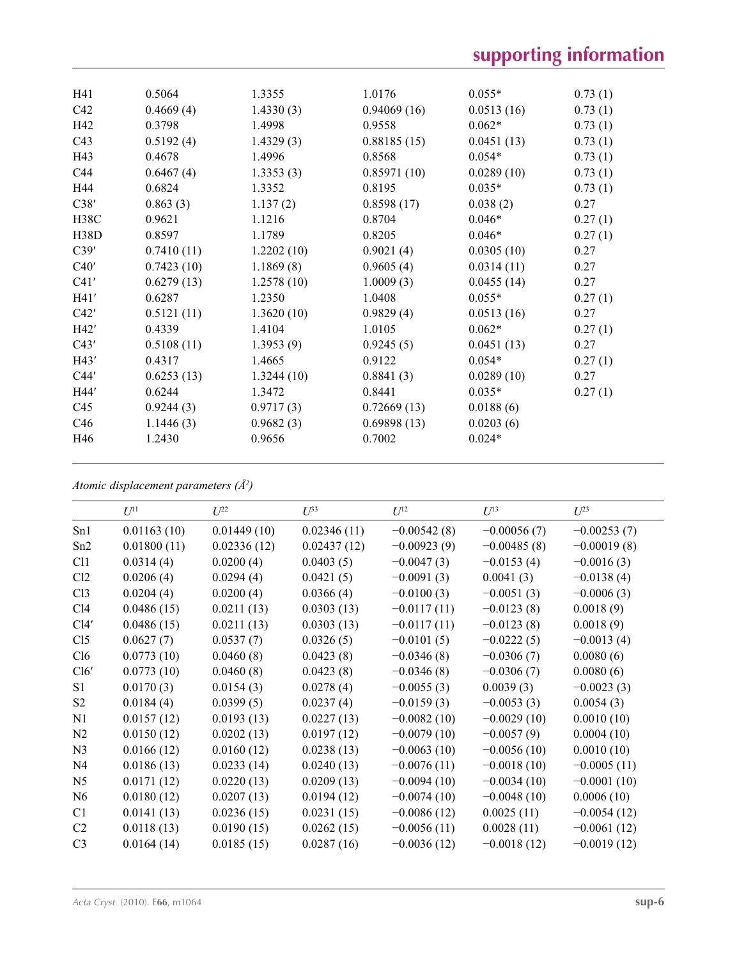| H41  | 0.5064     | 1.3355     | 1.0176      | $0.055*$   | 0.73(1) |
|------|------------|------------|-------------|------------|---------|
| C42  | 0.4669(4)  | 1.4330(3)  | 0.94069(16) | 0.0513(16) | 0.73(1) |
| H42  | 0.3798     | 1.4998     | 0.9558      | $0.062*$   | 0.73(1) |
| C43  | 0.5192(4)  | 1.4329(3)  | 0.88185(15) | 0.0451(13) | 0.73(1) |
| H43  | 0.4678     | 1.4996     | 0.8568      | $0.054*$   | 0.73(1) |
| C44  | 0.6467(4)  | 1.3353(3)  | 0.85971(10) | 0.0289(10) | 0.73(1) |
| H44  | 0.6824     | 1.3352     | 0.8195      | $0.035*$   | 0.73(1) |
| C38' | 0.863(3)   | 1.137(2)   | 0.8598(17)  | 0.038(2)   | 0.27    |
| H38C | 0.9621     | 1.1216     | 0.8704      | $0.046*$   | 0.27(1) |
| H38D | 0.8597     | 1.1789     | 0.8205      | $0.046*$   | 0.27(1) |
| C39' | 0.7410(11) | 1.2202(10) | 0.9021(4)   | 0.0305(10) | 0.27    |
| C40' | 0.7423(10) | 1.1869(8)  | 0.9605(4)   | 0.0314(11) | 0.27    |
| C41' | 0.6279(13) | 1.2578(10) | 1.0009(3)   | 0.0455(14) | 0.27    |
| H41' | 0.6287     | 1.2350     | 1.0408      | $0.055*$   | 0.27(1) |
| C42' | 0.5121(11) | 1.3620(10) | 0.9829(4)   | 0.0513(16) | 0.27    |
| H42' | 0.4339     | 1.4104     | 1.0105      | $0.062*$   | 0.27(1) |
| C43' | 0.5108(11) | 1.3953(9)  | 0.9245(5)   | 0.0451(13) | 0.27    |
| H43' | 0.4317     | 1.4665     | 0.9122      | $0.054*$   | 0.27(1) |
| C44' | 0.6253(13) | 1.3244(10) | 0.8841(3)   | 0.0289(10) | 0.27    |
| H44' | 0.6244     | 1.3472     | 0.8441      | $0.035*$   | 0.27(1) |
| C45  | 0.9244(3)  | 0.9717(3)  | 0.72669(13) | 0.0188(6)  |         |
| C46  | 1.1446(3)  | 0.9682(3)  | 0.69898(13) | 0.0203(6)  |         |
| H46  | 1.2430     | 0.9656     | 0.7002      | $0.024*$   |         |
|      |            |            |             |            |         |

*Atomic displacement parameters (Å2 )*

|                 | $U^{11}$    | $U^{22}$    | $U^{33}$    | $U^{12}$      | $U^{13}$      | $U^{23}$      |
|-----------------|-------------|-------------|-------------|---------------|---------------|---------------|
| Sn1             | 0.01163(10) | 0.01449(10) | 0.02346(11) | $-0.00542(8)$ | $-0.00056(7)$ | $-0.00253(7)$ |
| Sn2             | 0.01800(11) | 0.02336(12) | 0.02437(12) | $-0.00923(9)$ | $-0.00485(8)$ | $-0.00019(8)$ |
| C11             | 0.0314(4)   | 0.0200(4)   | 0.0403(5)   | $-0.0047(3)$  | $-0.0153(4)$  | $-0.0016(3)$  |
| Cl2             | 0.0206(4)   | 0.0294(4)   | 0.0421(5)   | $-0.0091(3)$  | 0.0041(3)     | $-0.0138(4)$  |
| Cl <sub>3</sub> | 0.0204(4)   | 0.0200(4)   | 0.0366(4)   | $-0.0100(3)$  | $-0.0051(3)$  | $-0.0006(3)$  |
| C14             | 0.0486(15)  | 0.0211(13)  | 0.0303(13)  | $-0.0117(11)$ | $-0.0123(8)$  | 0.0018(9)     |
| Cl4'            | 0.0486(15)  | 0.0211(13)  | 0.0303(13)  | $-0.0117(11)$ | $-0.0123(8)$  | 0.0018(9)     |
| Cl <sub>5</sub> | 0.0627(7)   | 0.0537(7)   | 0.0326(5)   | $-0.0101(5)$  | $-0.0222(5)$  | $-0.0013(4)$  |
| C16             | 0.0773(10)  | 0.0460(8)   | 0.0423(8)   | $-0.0346(8)$  | $-0.0306(7)$  | 0.0080(6)     |
| Cl6'            | 0.0773(10)  | 0.0460(8)   | 0.0423(8)   | $-0.0346(8)$  | $-0.0306(7)$  | 0.0080(6)     |
| S1              | 0.0170(3)   | 0.0154(3)   | 0.0278(4)   | $-0.0055(3)$  | 0.0039(3)     | $-0.0023(3)$  |
| S <sub>2</sub>  | 0.0184(4)   | 0.0399(5)   | 0.0237(4)   | $-0.0159(3)$  | $-0.0053(3)$  | 0.0054(3)     |
| N1              | 0.0157(12)  | 0.0193(13)  | 0.0227(13)  | $-0.0082(10)$ | $-0.0029(10)$ | 0.0010(10)    |
| N <sub>2</sub>  | 0.0150(12)  | 0.0202(13)  | 0.0197(12)  | $-0.0079(10)$ | $-0.0057(9)$  | 0.0004(10)    |
| N <sub>3</sub>  | 0.0166(12)  | 0.0160(12)  | 0.0238(13)  | $-0.0063(10)$ | $-0.0056(10)$ | 0.0010(10)    |
| N <sub>4</sub>  | 0.0186(13)  | 0.0233(14)  | 0.0240(13)  | $-0.0076(11)$ | $-0.0018(10)$ | $-0.0005(11)$ |
| N <sub>5</sub>  | 0.0171(12)  | 0.0220(13)  | 0.0209(13)  | $-0.0094(10)$ | $-0.0034(10)$ | $-0.0001(10)$ |
| N <sub>6</sub>  | 0.0180(12)  | 0.0207(13)  | 0.0194(12)  | $-0.0074(10)$ | $-0.0048(10)$ | 0.0006(10)    |
| C1              | 0.0141(13)  | 0.0236(15)  | 0.0231(15)  | $-0.0086(12)$ | 0.0025(11)    | $-0.0054(12)$ |
| C <sub>2</sub>  | 0.0118(13)  | 0.0190(15)  | 0.0262(15)  | $-0.0056(11)$ | 0.0028(11)    | $-0.0061(12)$ |
| C <sub>3</sub>  | 0.0164(14)  | 0.0185(15)  | 0.0287(16)  | $-0.0036(12)$ | $-0.0018(12)$ | $-0.0019(12)$ |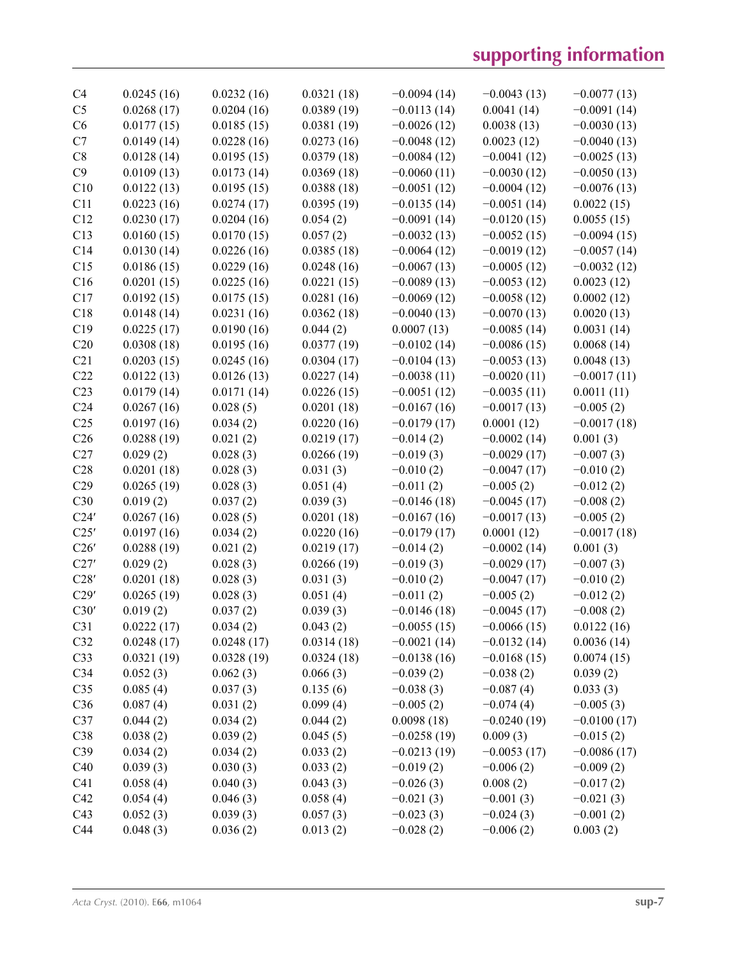| C4              | 0.0245(16) | 0.0232(16) | 0.0321(18) | $-0.0094(14)$ | $-0.0043(13)$ | $-0.0077(13)$ |
|-----------------|------------|------------|------------|---------------|---------------|---------------|
| C <sub>5</sub>  | 0.0268(17) | 0.0204(16) | 0.0389(19) | $-0.0113(14)$ | 0.0041(14)    | $-0.0091(14)$ |
| C6              | 0.0177(15) | 0.0185(15) | 0.0381(19) | $-0.0026(12)$ | 0.0038(13)    | $-0.0030(13)$ |
| C7              | 0.0149(14) | 0.0228(16) | 0.0273(16) | $-0.0048(12)$ | 0.0023(12)    | $-0.0040(13)$ |
| C8              | 0.0128(14) | 0.0195(15) | 0.0379(18) | $-0.0084(12)$ | $-0.0041(12)$ | $-0.0025(13)$ |
| C9              | 0.0109(13) | 0.0173(14) | 0.0369(18) | $-0.0060(11)$ | $-0.0030(12)$ | $-0.0050(13)$ |
| C10             | 0.0122(13) | 0.0195(15) | 0.0388(18) | $-0.0051(12)$ | $-0.0004(12)$ | $-0.0076(13)$ |
| C11             | 0.0223(16) | 0.0274(17) | 0.0395(19) | $-0.0135(14)$ | $-0.0051(14)$ | 0.0022(15)    |
| C12             | 0.0230(17) | 0.0204(16) | 0.054(2)   | $-0.0091(14)$ | $-0.0120(15)$ | 0.0055(15)    |
| C13             | 0.0160(15) | 0.0170(15) | 0.057(2)   | $-0.0032(13)$ | $-0.0052(15)$ | $-0.0094(15)$ |
| C14             | 0.0130(14) | 0.0226(16) | 0.0385(18) | $-0.0064(12)$ | $-0.0019(12)$ | $-0.0057(14)$ |
| C15             | 0.0186(15) | 0.0229(16) | 0.0248(16) | $-0.0067(13)$ | $-0.0005(12)$ | $-0.0032(12)$ |
| C16             | 0.0201(15) | 0.0225(16) | 0.0221(15) | $-0.0089(13)$ | $-0.0053(12)$ | 0.0023(12)    |
| C17             | 0.0192(15) | 0.0175(15) | 0.0281(16) | $-0.0069(12)$ | $-0.0058(12)$ | 0.0002(12)    |
| C18             | 0.0148(14) | 0.0231(16) | 0.0362(18) | $-0.0040(13)$ | $-0.0070(13)$ | 0.0020(13)    |
| C19             | 0.0225(17) | 0.0190(16) | 0.044(2)   | 0.0007(13)    | $-0.0085(14)$ | 0.0031(14)    |
| C20             | 0.0308(18) | 0.0195(16) | 0.0377(19) | $-0.0102(14)$ | $-0.0086(15)$ | 0.0068(14)    |
| C <sub>21</sub> | 0.0203(15) | 0.0245(16) | 0.0304(17) | $-0.0104(13)$ | $-0.0053(13)$ | 0.0048(13)    |
| C22             | 0.0122(13) | 0.0126(13) | 0.0227(14) | $-0.0038(11)$ | $-0.0020(11)$ | $-0.0017(11)$ |
| C <sub>23</sub> | 0.0179(14) | 0.0171(14) | 0.0226(15) | $-0.0051(12)$ | $-0.0035(11)$ | 0.0011(11)    |
| C <sub>24</sub> | 0.0267(16) | 0.028(5)   | 0.0201(18) | $-0.0167(16)$ | $-0.0017(13)$ | $-0.005(2)$   |
| C <sub>25</sub> | 0.0197(16) | 0.034(2)   | 0.0220(16) | $-0.0179(17)$ | 0.0001(12)    | $-0.0017(18)$ |
| C <sub>26</sub> | 0.0288(19) | 0.021(2)   | 0.0219(17) | $-0.014(2)$   | $-0.0002(14)$ | 0.001(3)      |
| C27             | 0.029(2)   | 0.028(3)   | 0.0266(19) | $-0.019(3)$   | $-0.0029(17)$ | $-0.007(3)$   |
| C28             | 0.0201(18) | 0.028(3)   | 0.031(3)   | $-0.010(2)$   | $-0.0047(17)$ | $-0.010(2)$   |
| C29             | 0.0265(19) | 0.028(3)   | 0.051(4)   | $-0.011(2)$   | $-0.005(2)$   | $-0.012(2)$   |
| C30             | 0.019(2)   | 0.037(2)   | 0.039(3)   | $-0.0146(18)$ | $-0.0045(17)$ | $-0.008(2)$   |
| C24'            | 0.0267(16) | 0.028(5)   | 0.0201(18) | $-0.0167(16)$ | $-0.0017(13)$ | $-0.005(2)$   |
| C25'            | 0.0197(16) | 0.034(2)   | 0.0220(16) | $-0.0179(17)$ | 0.0001(12)    | $-0.0017(18)$ |
| C26'            | 0.0288(19) | 0.021(2)   | 0.0219(17) | $-0.014(2)$   | $-0.0002(14)$ | 0.001(3)      |
| C27'            | 0.029(2)   | 0.028(3)   | 0.0266(19) | $-0.019(3)$   | $-0.0029(17)$ | $-0.007(3)$   |
| C28'            | 0.0201(18) | 0.028(3)   | 0.031(3)   | $-0.010(2)$   | $-0.0047(17)$ | $-0.010(2)$   |
| C29'            | 0.0265(19) | 0.028(3)   | 0.051(4)   | $-0.011(2)$   | $-0.005(2)$   | $-0.012(2)$   |
| C30'            | 0.019(2)   | 0.037(2)   | 0.039(3)   | $-0.0146(18)$ | $-0.0045(17)$ | $-0.008(2)$   |
| C31             | 0.0222(17) | 0.034(2)   | 0.043(2)   | $-0.0055(15)$ | $-0.0066(15)$ | 0.0122(16)    |
| C32             | 0.0248(17) | 0.0248(17) | 0.0314(18) | $-0.0021(14)$ | $-0.0132(14)$ | 0.0036(14)    |
| C <sub>33</sub> | 0.0321(19) | 0.0328(19) | 0.0324(18) | $-0.0138(16)$ | $-0.0168(15)$ | 0.0074(15)    |
| C <sub>34</sub> | 0.052(3)   | 0.062(3)   | 0.066(3)   | $-0.039(2)$   | $-0.038(2)$   | 0.039(2)      |
| C <sub>35</sub> | 0.085(4)   | 0.037(3)   | 0.135(6)   | $-0.038(3)$   | $-0.087(4)$   | 0.033(3)      |
| C36             | 0.087(4)   | 0.031(2)   | 0.099(4)   | $-0.005(2)$   | $-0.074(4)$   | $-0.005(3)$   |
| C37             | 0.044(2)   | 0.034(2)   | 0.044(2)   | 0.0098(18)    | $-0.0240(19)$ | $-0.0100(17)$ |
| C38             | 0.038(2)   | 0.039(2)   | 0.045(5)   | $-0.0258(19)$ | 0.009(3)      | $-0.015(2)$   |
| C39             | 0.034(2)   | 0.034(2)   | 0.033(2)   | $-0.0213(19)$ | $-0.0053(17)$ | $-0.0086(17)$ |
| C40             | 0.039(3)   | 0.030(3)   | 0.033(2)   | $-0.019(2)$   | $-0.006(2)$   | $-0.009(2)$   |
| C <sub>41</sub> | 0.058(4)   | 0.040(3)   | 0.043(3)   | $-0.026(3)$   | 0.008(2)      | $-0.017(2)$   |
| C42             | 0.054(4)   | 0.046(3)   | 0.058(4)   | $-0.021(3)$   | $-0.001(3)$   | $-0.021(3)$   |
| C43             | 0.052(3)   | 0.039(3)   | 0.057(3)   | $-0.023(3)$   | $-0.024(3)$   | $-0.001(2)$   |
| C44             | 0.048(3)   | 0.036(2)   | 0.013(2)   | $-0.028(2)$   | $-0.006(2)$   | 0.003(2)      |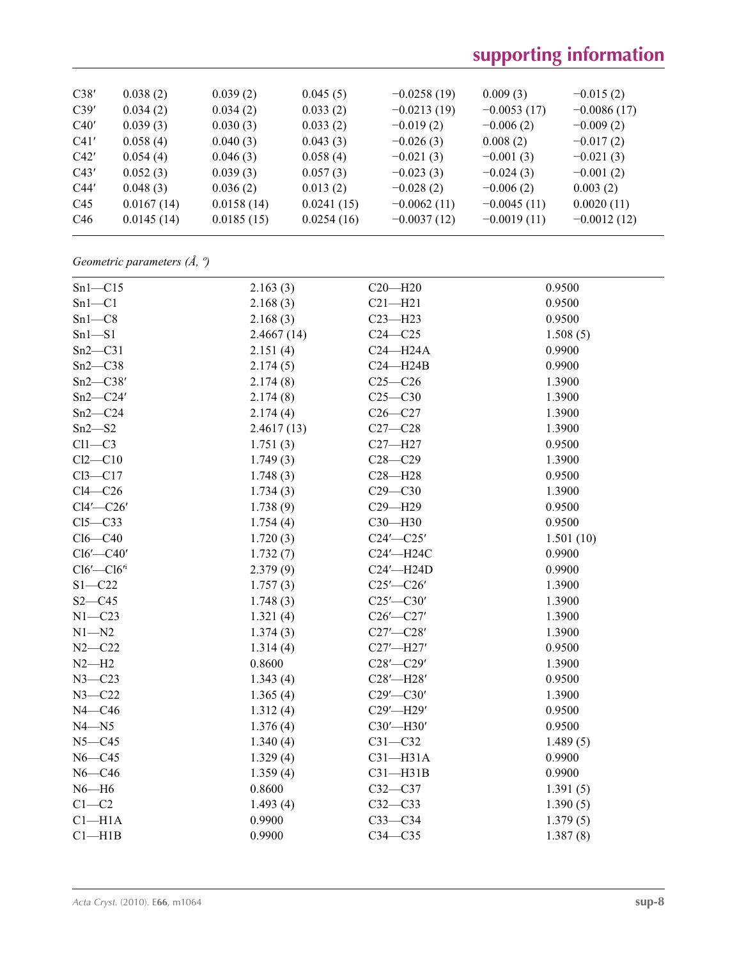# **supporting information**

| C38'            | 0.038(2)   | 0.039(2)   | 0.045(5)   | $-0.0258(19)$ | 0.009(3)      | $-0.015(2)$   |
|-----------------|------------|------------|------------|---------------|---------------|---------------|
| C39'            | 0.034(2)   | 0.034(2)   | 0.033(2)   | $-0.0213(19)$ | $-0.0053(17)$ | $-0.0086(17)$ |
| C40'            | 0.039(3)   | 0.030(3)   | 0.033(2)   | $-0.019(2)$   | $-0.006(2)$   | $-0.009(2)$   |
| C41'            | 0.058(4)   | 0.040(3)   | 0.043(3)   | $-0.026(3)$   | 0.008(2)      | $-0.017(2)$   |
| C42'            | 0.054(4)   | 0.046(3)   | 0.058(4)   | $-0.021(3)$   | $-0.001(3)$   | $-0.021(3)$   |
| C43'            | 0.052(3)   | 0.039(3)   | 0.057(3)   | $-0.023(3)$   | $-0.024(3)$   | $-0.001(2)$   |
| C44'            | 0.048(3)   | 0.036(2)   | 0.013(2)   | $-0.028(2)$   | $-0.006(2)$   | 0.003(2)      |
| C45             | 0.0167(14) | 0.0158(14) | 0.0241(15) | $-0.0062(11)$ | $-0.0045(11)$ | 0.0020(11)    |
| C <sub>46</sub> | 0.0145(14) | 0.0185(15) | 0.0254(16) | $-0.0037(12)$ | $-0.0019(11)$ | $-0.0012(12)$ |

*Geometric parameters (Å, º)*

| $Sn1-C15$         | 2.163(3)   | $C20 - H20$     | 0.9500    |
|-------------------|------------|-----------------|-----------|
| $Sn1-C1$          | 2.168(3)   | $C21 - H21$     | 0.9500    |
| $Sn1-C8$          | 2.168(3)   | $C23 - H23$     | 0.9500    |
| $Sn1 - S1$        | 2.4667(14) | $C24-C25$       | 1.508(5)  |
| $Sn2-C31$         | 2.151(4)   | $C24 - H24A$    | 0.9900    |
| $Sn2-C38$         | 2.174(5)   | $C24 - H24B$    | 0.9900    |
| $Sn2-C38'$        | 2.174(8)   | $C25-C26$       | 1.3900    |
| $Sn2-C24'$        | 2.174(8)   | $C25-C30$       | 1.3900    |
| $Sn2-C24$         | 2.174(4)   | $C26-C27$       | 1.3900    |
| $Sn2-S2$          | 2.4617(13) | $C27 - C28$     | 1.3900    |
| $Cl1-C3$          | 1.751(3)   | $C27 - H27$     | 0.9500    |
| $Cl2-C10$         | 1.749(3)   | $C28 - C29$     | 1.3900    |
| $Cl3-C17$         | 1.748(3)   | $C28 - H28$     | 0.9500    |
| $Cl4-C26$         | 1.734(3)   | $C29 - C30$     | 1.3900    |
| $Cl4'$ -C26'      | 1.738(9)   | $C29 - H29$     | 0.9500    |
| $C15-C33$         | 1.754(4)   | C30-H30         | 0.9500    |
| $Cl6-C40$         | 1.720(3)   | $C24'$ - $C25'$ | 1.501(10) |
| $Cl6'$ -C40'      | 1.732(7)   | C24'-H24C       | 0.9900    |
| $Cl6'$ - $Cl6'^i$ | 2.379(9)   | C24'-H24D       | 0.9900    |
| $S1 - C22$        | 1.757(3)   | $C25'$ - $C26'$ | 1.3900    |
| $S2 - C45$        | 1.748(3)   | $C25'$ - $C30'$ | 1.3900    |
| $N1 - C23$        | 1.321(4)   | $C26'$ - $C27'$ | 1.3900    |
| $N1 - N2$         | 1.374(3)   | $C27'$ - $C28'$ | 1.3900    |
| $N2 - C22$        | 1.314(4)   | C27'-H27'       | 0.9500    |
| $N2-H2$           | 0.8600     | $C28'$ - $C29'$ | 1.3900    |
| $N3 - C23$        | 1.343(4)   | C28'-H28'       | 0.9500    |
| $N3 - C22$        | 1.365(4)   | $C29'$ - $C30'$ | 1.3900    |
| $N4 - C46$        | 1.312(4)   | C29'-H29'       | 0.9500    |
| $N4 - N5$         | 1.376(4)   | C30'-H30'       | 0.9500    |
| $N5 - C45$        | 1.340(4)   | $C31 - C32$     | 1.489(5)  |
| $N6 - C45$        | 1.329(4)   | $C31 - H31A$    | 0.9900    |
| $N6 - C46$        | 1.359(4)   | $C31 - H31B$    | 0.9900    |
| $N6 - H6$         | 0.8600     | $C32-C37$       | 1.391(5)  |
| $C1-C2$           | 1.493(4)   | $C32-C33$       | 1.390(5)  |
| $Cl-H1A$          | 0.9900     | $C33-C34$       | 1.379(5)  |
| $Cl$ -H1B         | 0.9900     | $C34 - C35$     | 1.387(8)  |
|                   |            |                 |           |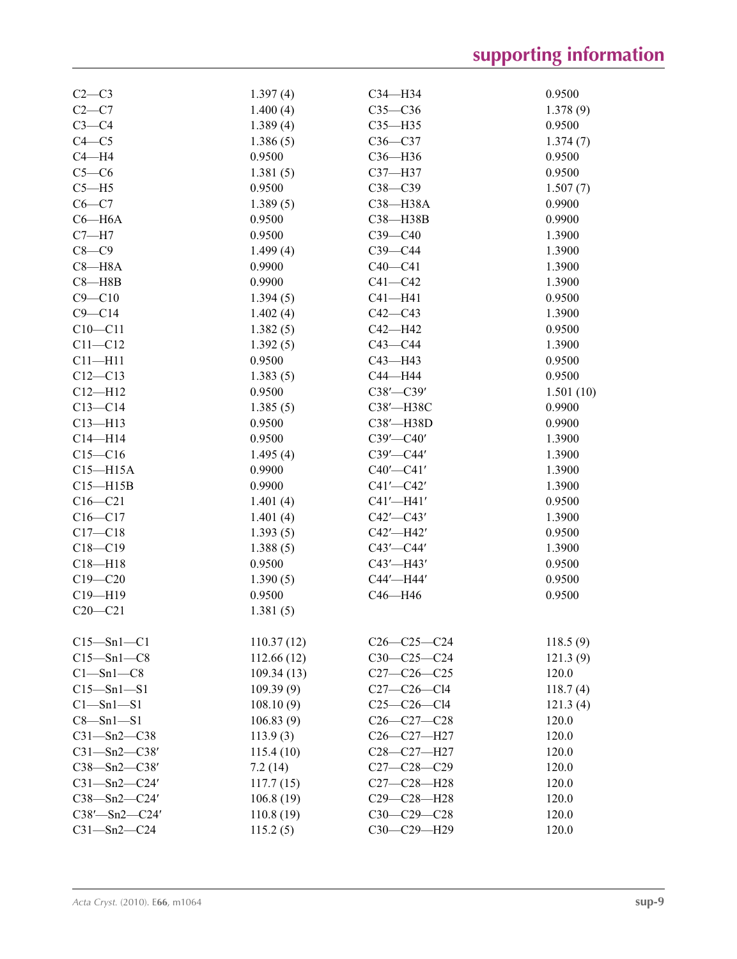| $C2-C3$             | 1.397(4)   | $C34 - H34$       | 0.9500    |
|---------------------|------------|-------------------|-----------|
| $C2-C7$             | 1.400(4)   | $C35-C36$         | 1.378(9)  |
| $C3-C4$             | 1.389(4)   | $C35 - H35$       | 0.9500    |
| $C4 - C5$           | 1.386(5)   | $C36-C37$         | 1.374(7)  |
| $C4 - H4$           | 0.9500     | $C36 - H36$       | 0.9500    |
| $C5-C6$             | 1.381(5)   | C37-H37           | 0.9500    |
| $C5 - H5$           | 0.9500     | $C38-C39$         | 1.507(7)  |
| $C6 - C7$           | 1.389(5)   | C38-H38A          | 0.9900    |
| $C6 - H6A$          | 0.9500     | C38-H38B          | 0.9900    |
| $C7 - H7$           | 0.9500     | $C39-C40$         | 1.3900    |
| $C8 - C9$           | 1.499(4)   | $C39-C44$         | 1.3900    |
| $C8 - H8A$          | 0.9900     | $C40 - C41$       | 1.3900    |
| $C8 - H8B$          | 0.9900     | $C41 - C42$       | 1.3900    |
| $C9 - C10$          | 1.394(5)   | $C41 - H41$       | 0.9500    |
| $C9 - C14$          | 1.402(4)   | $C42-C43$         | 1.3900    |
| $C10 - C11$         | 1.382(5)   | C42-H42           | 0.9500    |
| $C11 - C12$         | 1.392(5)   | $C43-C44$         | 1.3900    |
| $C11 - H11$         | 0.9500     | $C43 - H43$       | 0.9500    |
| $C12 - C13$         | 1.383(5)   | C44-H44           | 0.9500    |
| $C12 - H12$         | 0.9500     | $C38'$ - $C39'$   | 1.501(10) |
| $C13 - C14$         | 1.385(5)   | C38'-H38C         | 0.9900    |
| $C13 - H13$         | 0.9500     | C38'-H38D         | 0.9900    |
| $C14 - H14$         | 0.9500     | $C39'$ - $C40'$   | 1.3900    |
| $C15-C16$           | 1.495(4)   | $C39'$ - $C44'$   | 1.3900    |
| $C15 - H15A$        | 0.9900     | $C40'$ - $C41'$   | 1.3900    |
| $C15 - H15B$        | 0.9900     | $C41'$ - $C42'$   | 1.3900    |
| $C16 - C21$         | 1.401(4)   | C41'-H41'         | 0.9500    |
| $C16 - C17$         | 1.401(4)   | $C42'$ - $C43'$   | 1.3900    |
| $C17-C18$           | 1.393(5)   | C42'-H42'         | 0.9500    |
| $C18 - C19$         | 1.388(5)   | $C43'$ - $C44'$   | 1.3900    |
| $C18 - H18$         | 0.9500     | C43'-H43'         | 0.9500    |
| $C19 - C20$         | 1.390(5)   | C44'-H44'         | 0.9500    |
| $C19 - H19$         | 0.9500     | $C46 - H46$       | 0.9500    |
| $C20-C21$           | 1.381(5)   |                   |           |
|                     |            |                   |           |
| $C15 - Sn1 - C1$    | 110.37(12) | $C26-C25-C24$     | 118.5(9)  |
| $C15 - Sn1 - C8$    | 112.66(12) | $C30-C25-C24$     | 121.3(9)  |
| $C1 - Sn1 - C8$     | 109.34(13) | $C27 - C26 - C25$ | 120.0     |
| $C15 - Sn1 - S1$    | 109.39(9)  | $C27 - C26 - C14$ | 118.7(4)  |
| Cl—Sn1—S1           | 108.10(9)  | $C25-C26-C14$     | 121.3(4)  |
| $C8 - Sn1 - S1$     | 106.83(9)  | $C26 - C27 - C28$ | 120.0     |
| $C31 - Sn2 - C38$   | 113.9(3)   | C26-C27-H27       | 120.0     |
| $C31 - Sn2 - C38'$  | 115.4(10)  | C28-C27-H27       | 120.0     |
| $C38 - Sn2 - C38'$  | 7.2(14)    | $C27 - C28 - C29$ | 120.0     |
| $C31 - Sn2 - C24'$  | 117.7(15)  | $C27 - C28 - H28$ | 120.0     |
| $C38 - Sn2 - C24'$  | 106.8(19)  | $C29 - C28 - H28$ | 120.0     |
| $C38'$ -Sn2- $C24'$ | 110.8(19)  | $C30-C29-C28$     | 120.0     |
| $C31 - Sn2 - C24$   | 115.2(5)   | C30-C29-H29       | 120.0     |
|                     |            |                   |           |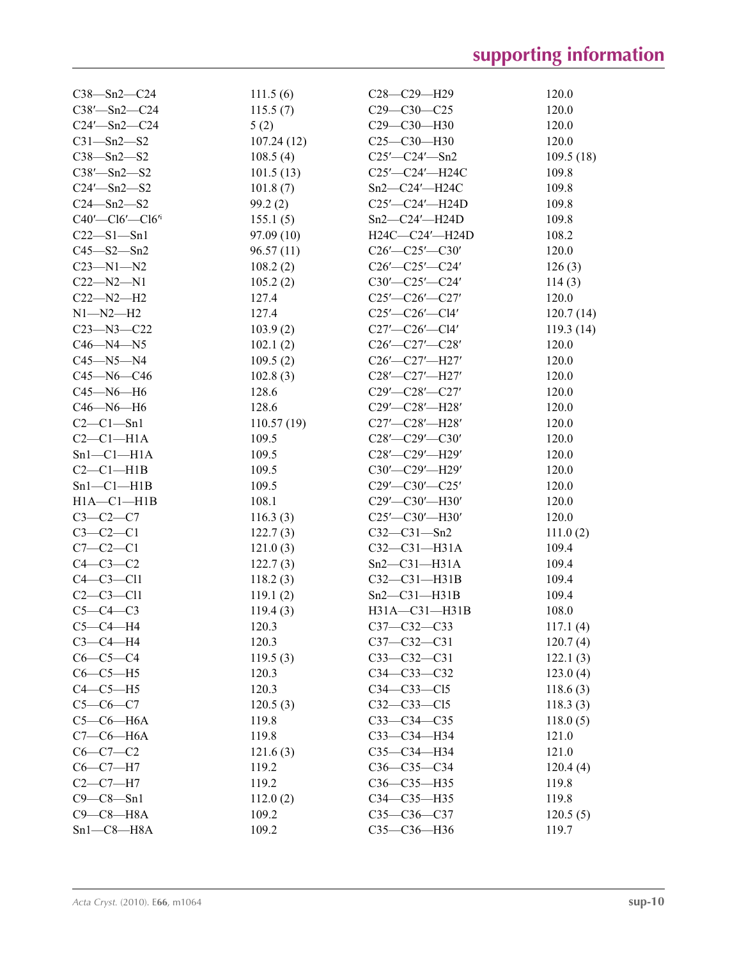| $C38 - Sn2 - C24$          | 111.5(6)   | $C28 - C29 - H29$        | 120.0     |
|----------------------------|------------|--------------------------|-----------|
| $C38'$ —Sn2—C24            | 115.5(7)   | $C29 - C30 - C25$        | 120.0     |
| $C24'$ —Sn2—C24            | 5(2)       | $C29 - C30 - H30$        | 120.0     |
| $C31 - Sn2 - S2$           | 107.24(12) | $C25-C30-H30$            | 120.0     |
| $C38 - Sn2 - S2$           | 108.5(4)   | $C25'$ - $C24'$ - Sn2    | 109.5(18) |
| $C38' - Sn2 - S2$          | 101.5(13)  | C25'-C24'-H24C           | 109.8     |
| $C24'$ —Sn2—S2             | 101.8(7)   | $Sn2-C24'$ -H24C         | 109.8     |
| $C24 - Sn2 - S2$           | 99.2(2)    | $C25'$ - $C24'$ - $H24D$ | 109.8     |
| $C40'$ — $C16'$ — $C16'$ i | 155.1(5)   | $Sn2-C24'$ -H24D         | 109.8     |
| $C22 - S1 - Sn1$           | 97.09 (10) | $H24C-C24'$ —H24D        | 108.2     |
| $C45 - S2 - Sn2$           | 96.57(11)  | $C26'$ - $C25'$ - $C30'$ | 120.0     |
| $C23 - N1 - N2$            | 108.2(2)   | $C26'$ - $C25'$ - $C24'$ | 126(3)    |
| $C22 - N2 - N1$            | 105.2(2)   | $C30'$ — $C25'$ — $C24'$ | 114(3)    |
| $C22 - N2 - H2$            | 127.4      | $C25'$ - $C26'$ - $C27'$ | 120.0     |
| $N1 - N2 - H2$             | 127.4      | $C25'$ — $C26'$ — $C14'$ | 120.7(14) |
| $C23 - N3 - C22$           |            |                          |           |
|                            | 103.9(2)   | $C27'$ — $C26'$ — $C14'$ | 119.3(14) |
| $C46 - N4 - N5$            | 102.1(2)   | $C26'$ — $C27'$ — $C28'$ | 120.0     |
| $C45 - N5 - N4$            | 109.5(2)   | C26'-C27'-H27'           | 120.0     |
| $C45 - N6 - C46$           | 102.8(3)   | C28'-C27'-H27'           | 120.0     |
| $C45 - N6 - H6$            | 128.6      | $C29'$ - $C28'$ - $C27'$ | 120.0     |
| $C46 - N6 - H6$            | 128.6      | C29′—C28′—H28′           | 120.0     |
| $C2-C1-Sn1$                | 110.57(19) | C27'-C28'-H28'           | 120.0     |
| $C2-C1-H1A$                | 109.5      | $C28'$ - $C29'$ - $C30'$ | 120.0     |
| $Sn1-C1-H1A$               | 109.5      | $C28'$ - $C29'$ -H29'    | 120.0     |
| $C2-C1-H1B$                | 109.5      | $C30'$ - $C29'$ -H29'    | 120.0     |
| $Sn1-C1-H1B$               | 109.5      | $C29'$ - $C30'$ - $C25'$ | 120.0     |
| $H1A - C1 - H1B$           | 108.1      | $C29'$ - $C30'$ -H30'    | 120.0     |
| $C3 - C2 - C7$             | 116.3(3)   | $C25'$ - $C30'$ - $H30'$ | 120.0     |
| $C3-C2-C1$                 | 122.7(3)   | $C32 - C31 - Sn2$        | 111.0(2)  |
| $C7-C2-C1$                 | 121.0(3)   | $C32-C31-H31A$           | 109.4     |
| $C4-C3-C2$                 | 122.7(3)   | $Sn2-C31-H31A$           | 109.4     |
| $C4-C3-C11$                | 118.2(3)   | $C32-C31-H31B$           | 109.4     |
| $C2-C3-C11$                | 119.1(2)   | $Sn2-C31-H31B$           | 109.4     |
| $C5-C4-C3$                 | 119.4(3)   | H31A-C31-H31B            | 108.0     |
| $C5-C4-H4$                 | 120.3      | C37-C32-C33              | 117.1(4)  |
| $C3-C4-H4$                 | 120.3      | $C37 - C32 - C31$        | 120.7(4)  |
| $C6-C5-C4$                 | 119.5(3)   | $C33 - C32 - C31$        | 122.1(3)  |
| $C6-C5-H5$                 | 120.3      | $C34 - C33 - C32$        | 123.0(4)  |
| $C4-C5-H5$                 | 120.3      | $C34-C33-C15$            | 118.6(3)  |
| $C5 - C6 - C7$             | 120.5(3)   | $C32-C33-C15$            | 118.3(3)  |
| $C5-C6-H6A$                | 119.8      | $C33-C34-C35$            | 118.0(5)  |
| $C7-C6-H6A$                | 119.8      | $C33-C34-H34$            | 121.0     |
| $C6-C7-C2$                 | 121.6(3)   | C35-C34-H34              | 121.0     |
| $C6-C7-H7$                 | 119.2      | $C36-C35-C34$            | 120.4(4)  |
| $C2-C7-H7$                 | 119.2      | C36-C35-H35              | 119.8     |
| $C9-C8-Sn1$                | 112.0(2)   | C34-C35-H35              | 119.8     |
| $C9-C8-H8A$                | 109.2      | $C35 - C36 - C37$        | 120.5(5)  |
| $Sn1-C8-H8A$               | 109.2      | C35-C36-H36              | 119.7     |
|                            |            |                          |           |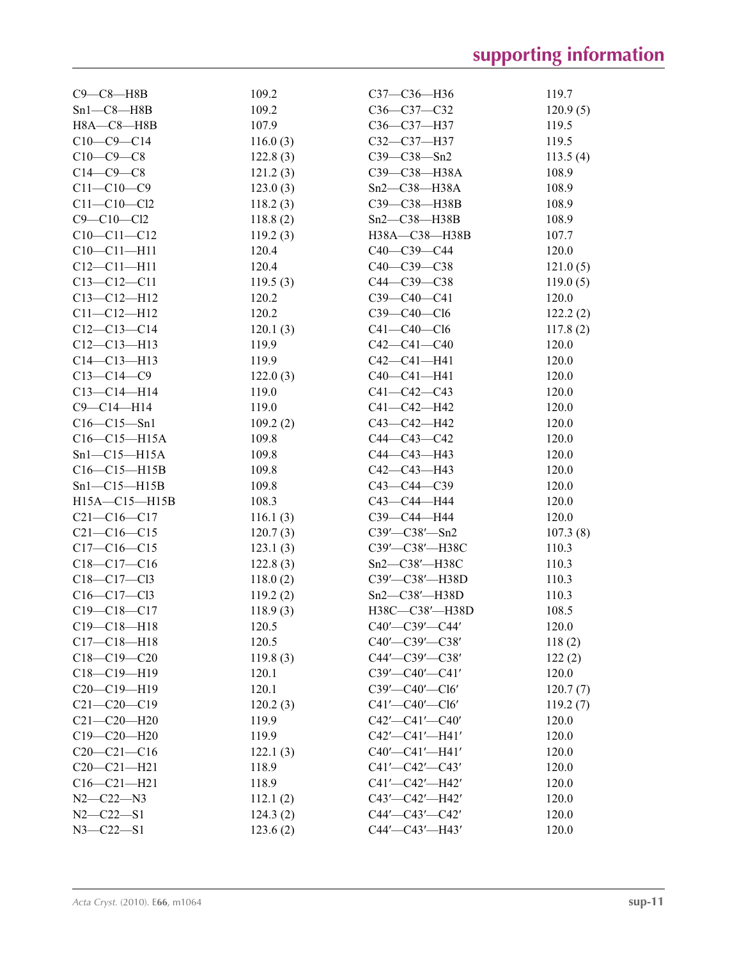| $C9 - C8 - H8B$     | 109.2                | C37-C36-H36                               | 119.7             |
|---------------------|----------------------|-------------------------------------------|-------------------|
| $Sn1-C8-H8B$        | 109.2                | $C36-C37-C32$                             | 120.9(5)          |
| $H8A - C8 - H8B$    | 107.9                | C36-C37-H37                               | 119.5             |
| $C10-C9-C14$        | 116.0(3)             | C32-C37-H37                               | 119.5             |
| $C10-C9-C8$         | 122.8(3)             | $C39 - C38 - Sn2$                         | 113.5(4)          |
| $C14-C9-C8$         | 121.2(3)             | C39-C38-H38A                              | 108.9             |
| $C11 - C10 - C9$    | 123.0(3)             | $Sn2-C38-H38A$                            | 108.9             |
| $C11 - C10 - C12$   | 118.2(3)             | C39-C38-H38B                              | 108.9             |
| $C9 - C10 - C12$    | 118.8(2)             | $Sn2-C38-H38B$                            | 108.9             |
| $C10-C11-C12$       | 119.2(3)             | H38A-C38-H38B                             | 107.7             |
| $C10-C11-H11$       | 120.4                | $C40-C39-C44$                             | 120.0             |
| $C12 - C11 - H11$   | 120.4                | $C40-C39-C38$                             | 121.0(5)          |
| $C13 - C12 - C11$   | 119.5(3)             | C44-C39-C38                               | 119.0(5)          |
| $C13 - C12 - H12$   | 120.2                | $C39-C40-C41$                             | 120.0             |
| $C11 - C12 - H12$   | 120.2                | $C39 - C40 - C16$                         | 122.2(2)          |
| $C12-C13-C14$       | 120.1(3)             | $C41 - C40 - C16$                         | 117.8(2)          |
| $C12-C13-H13$       | 119.9                | $C42 - C41 - C40$                         | 120.0             |
| $C14 - C13 - H13$   | 119.9                | $C42 - C41 - H41$                         | 120.0             |
| $C13 - C14 - C9$    | 122.0(3)             | $C40-C41-H41$                             | 120.0             |
| $C13 - C14 - H14$   | 119.0                | $C41 - C42 - C43$                         | 120.0             |
| $C9 - C14 - H14$    | 119.0                | C41-C42-H42                               | 120.0             |
| $C16 - C15 - Sn1$   | 109.2(2)             | C43-C42-H42                               | 120.0             |
| $C16 - C15 - H15A$  | 109.8                | $C44 - C43 - C42$                         | 120.0             |
| $Sn1-C15-H15A$      | 109.8                | C44-C43-H43                               | 120.0             |
| $C16-C15-H15B$      | 109.8                | C42-C43-H43                               | 120.0             |
| $Sn1-C15-H15B$      | 109.8                | $C43 - C44 - C39$                         | 120.0             |
| $H15A - C15 - H15B$ | 108.3                | C43-C44-H44                               | 120.0             |
| $C21 - C16 - C17$   | 116.1(3)             | СЗ9-С44-Н44                               | 120.0             |
| $C21 - C16 - C15$   |                      |                                           |                   |
| $C17-C16-C15$       | 120.7(3)<br>123.1(3) | $C39'$ — $C38'$ — $Sn2$<br>C39'-C38'-H38C | 107.3(8)<br>110.3 |
| $C18-C17-C16$       |                      | $Sn2-C38'$ -H38C                          | 110.3             |
|                     | 122.8(3)             |                                           |                   |
| $C18 - C17 - C13$   | 118.0(2)             | C39'-C38'-H38D                            | 110.3             |
| $C16 - C17 - C13$   | 119.2(2)             | $Sn2-C38'$ -H38D                          | 110.3             |
| $C19 - C18 - C17$   | 118.9(3)             | H38C-C38'-H38D                            | 108.5             |
| $C19 - C18 - H18$   | 120.5                | $C40'$ — $C39'$ — $C44'$                  | 120.0             |
| $C17 - C18 - H18$   | 120.5                | $C40'$ — $C39'$ — $C38'$                  | 118(2)            |
| $C18-C19-C20$       | 119.8(3)             | $C44'$ — $C39'$ — $C38'$                  | 122(2)            |
| $C18 - C19 - H19$   | 120.1                | C39'-C40'-C41'                            | 120.0             |
| $C20-C19-H19$       | 120.1                | $C39'$ — $C40'$ — $C16'$                  | 120.7(7)          |
| $C21 - C20 - C19$   | 120.2(3)             | $C41'$ - $C40'$ - $C16'$                  | 119.2(7)          |
| $C21 - C20 - H20$   | 119.9                | $C42'$ - $C41'$ - $C40'$                  | 120.0             |
| $C19 - C20 - H20$   | 119.9                | $C42'$ - $C41'$ - $H41'$                  | 120.0             |
| $C20-C21-C16$       | 122.1(3)             | C40'-C41'-H41'                            | 120.0             |
| $C20 - C21 - H21$   | 118.9                | $C41'$ - $C42'$ - $C43'$                  | 120.0             |
| $C16 - C21 - H21$   | 118.9                | $C41'$ - $C42'$ - $H42'$                  | 120.0             |
| $N2 - C22 - N3$     | 112.1(2)             | $C43'$ — $C42'$ —H42'                     | 120.0             |
| $N2 - C22 - S1$     | 124.3(2)             | $C44'$ — $C43'$ — $C42'$                  | 120.0             |
| $N3 - C22 - S1$     | 123.6(2)             | $C44'$ — $C43'$ —H43'                     | 120.0             |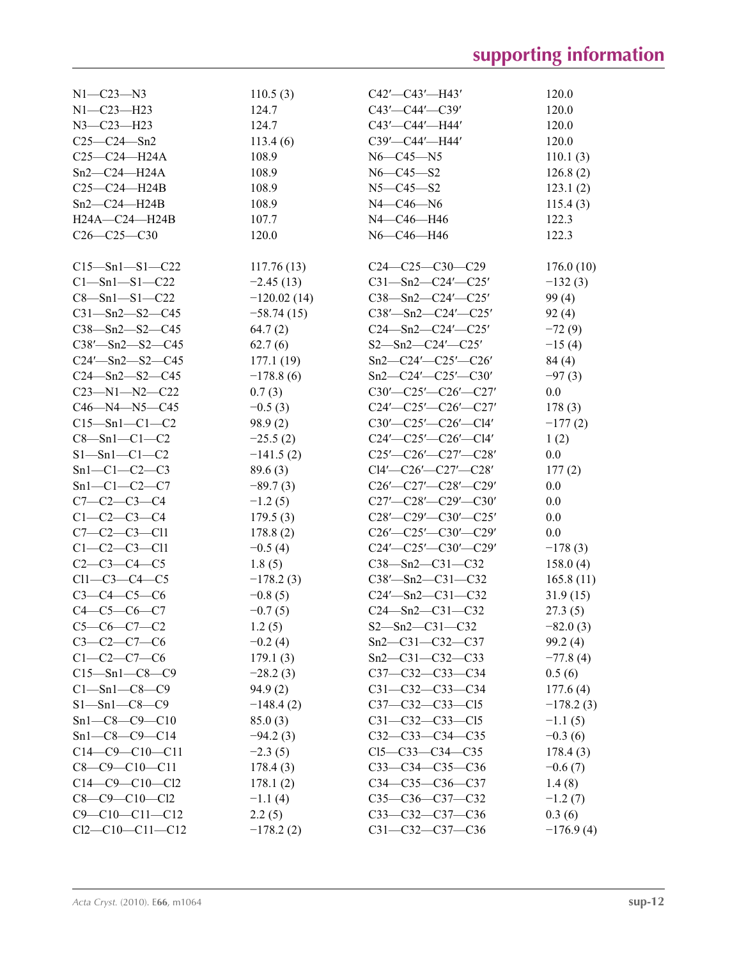| $N1 - C23 - N3$        | 110.5(3)      | $C42'$ - $C43'$ - $H43'$          | 120.0       |
|------------------------|---------------|-----------------------------------|-------------|
| $N1 - C23 - H23$       | 124.7         | $C43'$ — $C44'$ — $C39'$          | 120.0       |
| $N3 - C23 - H23$       | 124.7         | C43'—C44'—H44'                    | 120.0       |
| $C25 - C24 - Sn2$      | 113.4(6)      | C39'-C44'-H44'                    | 120.0       |
| $C25 - C24 - H24A$     | 108.9         | $N6 - C45 - N5$                   | 110.1(3)    |
| $Sn2-C24-H24A$         | 108.9         | $N6 - C45 - S2$                   | 126.8(2)    |
| $C25-C24-H24B$         | 108.9         | $N5 - C45 - S2$                   |             |
|                        |               |                                   | 123.1(2)    |
| $Sn2-C24-H24B$         | 108.9         | $N4 - C46 - N6$                   | 115.4(3)    |
| $H24A - C24 - H24B$    | 107.7         | N4-C46-H46                        | 122.3       |
| $C26 - C25 - C30$      | 120.0         | N6-C46-H46                        | 122.3       |
| $C15 - Sn1 - S1 - C22$ | 117.76(13)    | $C24 - C25 - C30 - C29$           | 176.0(10)   |
| $C1 - Sn1 - S1 - C22$  | $-2.45(13)$   | $C31 - Sn2 - C24' - C25'$         | $-132(3)$   |
| $C8 - Sn1 - S1 - C22$  | $-120.02(14)$ | $C38 - Sn2 - C24' - C25'$         | 99(4)       |
| $C31 - Sn2 - S2 - C45$ | $-58.74(15)$  |                                   |             |
|                        |               | $C38'$ —Sn2—C24'—C25'             | 92(4)       |
| $C38 - Sn2 - S2 - C45$ | 64.7(2)       | $C24 - Sn2 - C24' - C25'$         | $-72(9)$    |
| $C38'$ —Sn2—S2—C45     | 62.7(6)       | $S2 - Sn2 - C24' - C25'$          | $-15(4)$    |
| $C24'$ —Sn2—S2—C45     | 177.1(19)     | $Sn2-C24'-C25'-C26'$              | 84 (4)      |
| $C24$ —Sn2—S2—C45      | $-178.8(6)$   | $Sn2-C24'-C25'-C30'$              | $-97(3)$    |
| $C23 - N1 - N2 - C22$  | 0.7(3)        | $C30'$ — $C25'$ — $C26'$ — $C27'$ | 0.0         |
| $C46 - N4 - N5 - C45$  | $-0.5(3)$     | $C24'$ - $C25'$ - $C26'$ - $C27'$ | 178(3)      |
| $C15 - Sn1 - C1 - C2$  | 98.9(2)       | $C30'$ — $C25'$ — $C26'$ — $C14'$ | $-177(2)$   |
| $C8 - Sn1 - C1 - C2$   | $-25.5(2)$    | $C24'$ - $C25'$ - $C26'$ - $C14'$ | 1(2)        |
| $S1 - Sn1 - C1 - C2$   | $-141.5(2)$   | $C25'$ — $C26'$ — $C27'$ — $C28'$ | 0.0         |
| $Sn1-C1-C2-C3$         | 89.6(3)       | $Cl4'$ — $Cl6'$ — $Cl7'$ — $Cl8'$ | 177(2)      |
| $Sn1-C1-C2-C7$         | $-89.7(3)$    | $C26'$ — $C27'$ — $C28'$ — $C29'$ | 0.0         |
| $C7-C2-C3-C4$          | $-1.2(5)$     | $C27'$ — $C28'$ — $C29'$ — $C30'$ | 0.0         |
| $C1 - C2 - C3 - C4$    | 179.5(3)      | $C28'$ — $C29'$ — $C30'$ — $C25'$ | 0.0         |
| $C7-C2-C3-C11$         | 178.8(2)      | $C26'$ - $C25'$ - $C30'$ - $C29'$ | 0.0         |
| $C1-C2-C3-C11$         | $-0.5(4)$     | $C24'$ - $C25'$ - $C30'$ - $C29'$ | $-178(3)$   |
| $C2-C3-C4-C5$          | 1.8(5)        | $C38 - Sn2 - C31 - C32$           | 158.0(4)    |
| $Cl1-C3-C4-C5$         | $-178.2(3)$   | $C38'$ —Sn2—C31—C32               | 165.8(11)   |
| $C3 - C4 - C5 - C6$    | $-0.8(5)$     | $C24'$ —Sn2—C31—C32               |             |
|                        |               | $C24 - Sn2 - C31 - C32$           | 31.9(15)    |
| $C4 - C5 - C6 - C7$    | $-0.7(5)$     |                                   | 27.3(5)     |
| $C5-C6-C7-C2$          | 1.2(5)        | $S2 - Sn2 - C31 - C32$            | $-82.0(3)$  |
| $C3-C2-C7-C6$          | $-0.2(4)$     | $Sn2-C31-C32-C37$                 | 99.2(4)     |
| $C1 - C2 - C7 - C6$    | 179.1(3)      | $Sn2-C31-C32-C33$                 | $-77.8(4)$  |
| $C15 - Sn1 - C8 - C9$  | $-28.2(3)$    | C37-C32-C33-C34                   | 0.5(6)      |
| $C1$ —Sn1—C8—C9        | 94.9(2)       | $C31 - C32 - C33 - C34$           | 177.6(4)    |
| $S1 - Sn1 - C8 - C9$   | $-148.4(2)$   | $C37 - C32 - C33 - C15$           | $-178.2(3)$ |
| $Sn1-C8-C9-C10$        | 85.0(3)       | $C31 - C32 - C33 - C15$           | $-1.1(5)$   |
| $Sn1-C8-C9-C14$        | $-94.2(3)$    | $C32-C33-C34-C35$                 | $-0.3(6)$   |
| $C14-C9-C10-C11$       | $-2.3(5)$     | $C15-C33-C34-C35$                 | 178.4(3)    |
| $C8-C9-C10-C11$        | 178.4(3)      | $C33 - C34 - C35 - C36$           | $-0.6(7)$   |
| $C14-C9-C10-C12$       | 178.1(2)      | $C34 - C35 - C36 - C37$           | 1.4(8)      |
| $C8 - C9 - C10 - C12$  | $-1.1(4)$     | $C35-C36-C37-C32$                 | $-1.2(7)$   |
| $C9 - C10 - C11 - C12$ | 2.2(5)        | C33-C32-C37-C36                   | 0.3(6)      |
| $Cl2-C10-C11-C12$      | $-178.2(2)$   | $C31 - C32 - C37 - C36$           | $-176.9(4)$ |
|                        |               |                                   |             |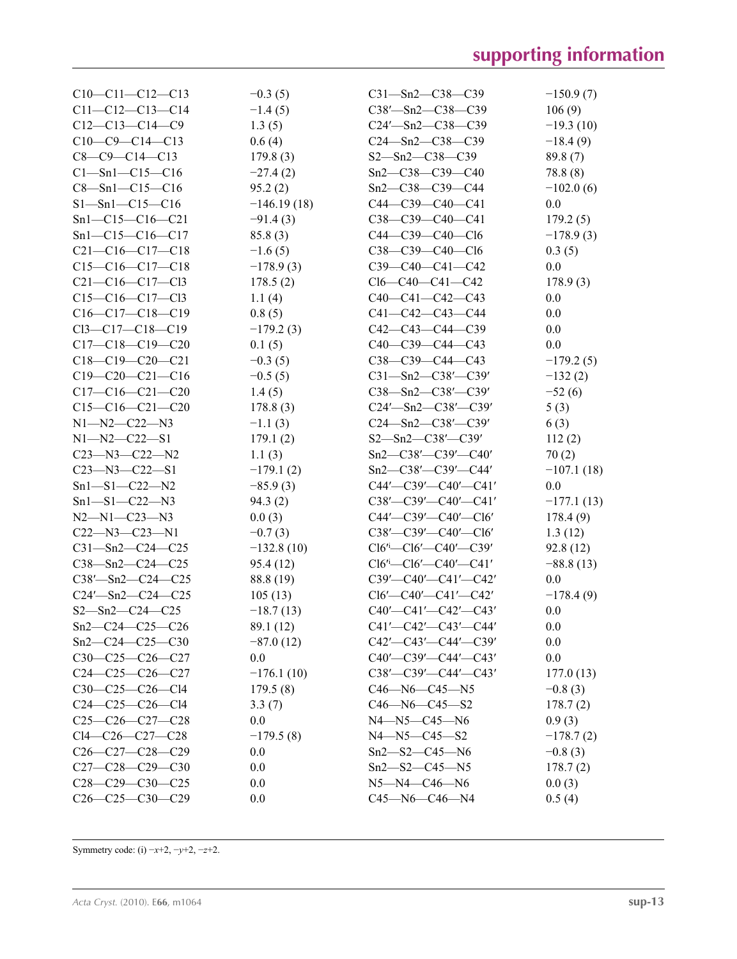| $C10-C11-C12-C13$          | $-0.3(5)$     | $C31 - Sn2 - C38 - C39$             | $-150.9(7)$  |
|----------------------------|---------------|-------------------------------------|--------------|
| $C11-C12-C13-C14$          | $-1.4(5)$     | $C38'$ —Sn2— $C38$ —C39             | 106(9)       |
| $C12-C13-C14-C9$           | 1.3(5)        | $C24'$ —Sn2—C38—C39                 | $-19.3(10)$  |
| $C10-C9-C14-C13$           | 0.6(4)        | $C24 - Sn2 - C38 - C39$             | $-18.4(9)$   |
| $C8-C9-C14-C13$            | 179.8(3)      | $S2 - Sn2 - C38 - C39$              | 89.8(7)      |
| $Cl - Sn1 - Cl5 - Cl6$     | $-27.4(2)$    | $Sn2-C38-C39-C40$                   | 78.8(8)      |
| $C8 - Sn1 - C15 - C16$     | 95.2(2)       | Sn2-C38-C39-C44                     | $-102.0(6)$  |
| $S1 - Sn1 - C15 - C16$     | $-146.19(18)$ | $C44-C39-C40-C41$                   | 0.0          |
| $Sn1-C15-C16-C21$          | $-91.4(3)$    | $C38-C39-C40-C41$                   | 179.2(5)     |
| $Sn1-C15-C16-C17$          | 85.8(3)       | C44-C39-C40-Cl6                     | $-178.9(3)$  |
| $C21-C16-C17-C18$          | $-1.6(5)$     | C38-C39-C40-Cl6                     | 0.3(5)       |
| $C15-C16-C17-C18$          | $-178.9(3)$   | $C39-C40-C41-C42$                   | 0.0          |
| $C21-C16-C17-C13$          | 178.5(2)      | $Cl6-C40-C41-C42$                   | 178.9(3)     |
| $C15-C16-C17-C13$          | 1.1(4)        | $C40-C41-C42-C43$                   | 0.0          |
| $C16-C17-C18-C19$          | 0.8(5)        | $C41 - C42 - C43 - C44$             | 0.0          |
| $Cl3-C17-C18-C19$          | $-179.2(3)$   | $C42-C43-C44-C39$                   | 0.0          |
| $C17-C18-C19-C20$          | 0.1(5)        | $C40-C39-C44-C43$                   | 0.0          |
| $C18-C19-C20-C21$          |               | C38-C39-C44-C43                     | $-179.2(5)$  |
| $C19-C20-C21-C16$          | $-0.3(5)$     |                                     |              |
|                            | $-0.5(5)$     | $C31 - Sn2 - C38' - C39'$           | $-132(2)$    |
| $C17-C16-C21-C20$          | 1.4(5)        | $C38 - Sn2 - C38' - C39'$           | $-52(6)$     |
| $C15-C16-C21-C20$          | 178.8(3)      | $C24'$ —Sn2— $C38'$ — $C39'$        | 5(3)         |
| $N1 - N2 - C22 - N3$       | $-1.1(3)$     | $C24 - Sn2 - C38' - C39'$           | 6(3)         |
| $N1 - N2 - C22 - S1$       | 179.1(2)      | $S2 - Sn2 - C38' - C39'$            | 112(2)       |
| $C23 - N3 - C22 - N2$      | 1.1(3)        | $Sn2-C38'-C39'-C40'$                | 70(2)        |
| $C23 - N3 - C22 - S1$      | $-179.1(2)$   | $Sn2-C38'-C39'-C44'$                | $-107.1(18)$ |
| $Sn1 - SI - C22 - N2$      | $-85.9(3)$    | $C44'$ — $C39'$ — $C40'$ — $C41'$   | 0.0          |
| $Sn1 - SI - C22 - N3$      | 94.3(2)       | $C38'$ — $C39'$ — $C40'$ — $C41'$   | $-177.1(13)$ |
| $N2 - N1 - C23 - N3$       | 0.0(3)        | $C44'$ — $C39'$ — $C40'$ — $C16'$   | 178.4(9)     |
| $C22 - N3 - C23 - N1$      | $-0.7(3)$     | $C38'$ — $C39'$ — $C40'$ — $C16'$   | 1.3(12)      |
| $C31 - Sn2 - C24 - C25$    | $-132.8(10)$  | $Cl6'$ - $Cl6'$ - $Cl40'$ - $Cl39'$ | 92.8(12)     |
| $C38 - Sn2 - C24 - C25$    | 95.4 (12)     | $Cl6'$ - $Cl6'$ - $Cl40'$ - $Cl1'$  | $-88.8(13)$  |
| $C38'$ -Sn2- $C24$ - $C25$ | 88.8 (19)     | $C39'$ - $C40'$ - $C41'$ - $C42'$   | 0.0          |
| $C24'$ -Sn2- $C24$ - $C25$ | 105(13)       | $Cl6'$ —C40'—C41'—C42'              | $-178.4(9)$  |
| $S2 - Sn2 - C24 - C25$     | $-18.7(13)$   | $C40'$ - $C41'$ - $C42'$ - $C43'$   | 0.0          |
| $Sn2-C24-C25-C26$          | 89.1 (12)     | $C41'$ - $C42'$ - $C43'$ - $C44'$   | $0.0\,$      |
| $Sn2-C24-C25-C30$          | $-87.0(12)$   | $C42'$ — $C43'$ — $C44'$ — $C39'$   | 0.0          |
| $C30-C25-C26-C27$          | 0.0           | $C40'$ — $C39'$ — $C44'$ — $C43'$   | 0.0          |
| $C24-C25-C26-C27$          | $-176.1(10)$  | $C38'$ — $C39'$ — $C44'$ — $C43'$   | 177.0(13)    |
| $C30-C25-C26-C14$          | 179.5(8)      | $C46 - N6 - C45 - N5$               | $-0.8(3)$    |
| $C24-C25-C26-C14$          | 3.3(7)        | $C46 - N6 - C45 - S2$               | 178.7(2)     |
| $C25-C26-C27-C28$          | 0.0           | $N4 - N5 - C45 - N6$                | 0.9(3)       |
| Cl4-C26-C27-C28            | $-179.5(8)$   | $N4 - N5 - C45 - S2$                | $-178.7(2)$  |
| $C26-C27-C28-C29$          | 0.0           | $Sn2 - S2 - C45 - N6$               | $-0.8(3)$    |
| $C27-C28-C29-C30$          | 0.0           | $Sn2 - S2 - C45 - N5$               | 178.7(2)     |
| $C28-C29-C30-C25$          | 0.0           | $N5 - N4 - C46 - N6$                | 0.0(3)       |
| $C26-C25-C30-C29$          | 0.0           | $C45 - N6 - C46 - N4$               | 0.5(4)       |

Symmetry code: (i) −*x*+2, −*y*+2, −*z*+2.